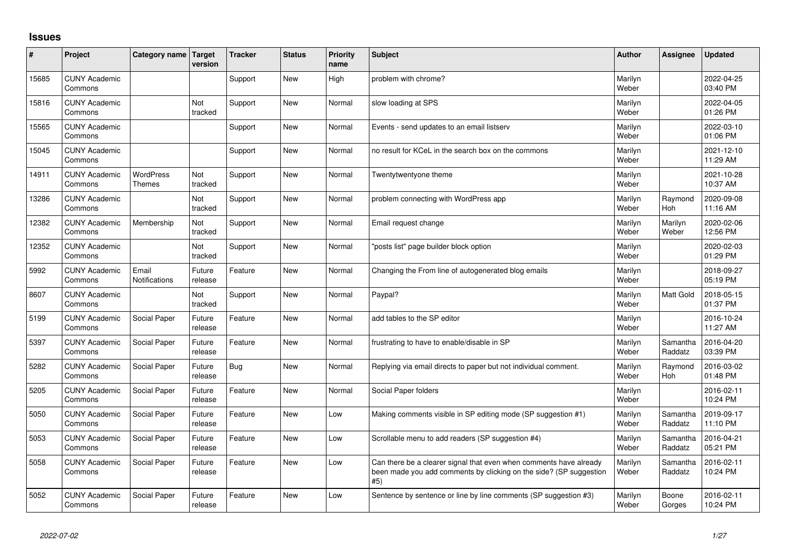## **Issues**

| $\#$  | Project                         | Category name   Target            | version           | <b>Tracker</b> | <b>Status</b> | <b>Priority</b><br>name | <b>Subject</b>                                                                                                                                  | <b>Author</b>    | Assignee            | <b>Updated</b>         |
|-------|---------------------------------|-----------------------------------|-------------------|----------------|---------------|-------------------------|-------------------------------------------------------------------------------------------------------------------------------------------------|------------------|---------------------|------------------------|
| 15685 | <b>CUNY Academic</b><br>Commons |                                   |                   | Support        | <b>New</b>    | High                    | problem with chrome?                                                                                                                            | Marilyn<br>Weber |                     | 2022-04-25<br>03:40 PM |
| 15816 | <b>CUNY Academic</b><br>Commons |                                   | Not<br>tracked    | Support        | New           | Normal                  | slow loading at SPS                                                                                                                             | Marilyn<br>Weber |                     | 2022-04-05<br>01:26 PM |
| 15565 | <b>CUNY Academic</b><br>Commons |                                   |                   | Support        | <b>New</b>    | Normal                  | Events - send updates to an email listserv                                                                                                      | Marilyn<br>Weber |                     | 2022-03-10<br>01:06 PM |
| 15045 | <b>CUNY Academic</b><br>Commons |                                   |                   | Support        | <b>New</b>    | Normal                  | no result for KCeL in the search box on the commons                                                                                             | Marilyn<br>Weber |                     | 2021-12-10<br>11:29 AM |
| 14911 | <b>CUNY Academic</b><br>Commons | <b>WordPress</b><br><b>Themes</b> | Not<br>tracked    | Support        | <b>New</b>    | Normal                  | Twentytwentyone theme                                                                                                                           | Marilyn<br>Weber |                     | 2021-10-28<br>10:37 AM |
| 13286 | <b>CUNY Academic</b><br>Commons |                                   | Not<br>tracked    | Support        | <b>New</b>    | Normal                  | problem connecting with WordPress app                                                                                                           | Marilyn<br>Weber | Raymond<br>Hoh      | 2020-09-08<br>11:16 AM |
| 12382 | <b>CUNY Academic</b><br>Commons | Membership                        | Not<br>tracked    | Support        | <b>New</b>    | Normal                  | Email request change                                                                                                                            | Marilyn<br>Weber | Marilyn<br>Weber    | 2020-02-06<br>12:56 PM |
| 12352 | <b>CUNY Academic</b><br>Commons |                                   | Not<br>tracked    | Support        | <b>New</b>    | Normal                  | posts list" page builder block option                                                                                                           | Marilyn<br>Weber |                     | 2020-02-03<br>01:29 PM |
| 5992  | <b>CUNY Academic</b><br>Commons | Email<br>Notifications            | Future<br>release | Feature        | <b>New</b>    | Normal                  | Changing the From line of autogenerated blog emails                                                                                             | Marilyn<br>Weber |                     | 2018-09-27<br>05:19 PM |
| 8607  | <b>CUNY Academic</b><br>Commons |                                   | Not<br>tracked    | Support        | <b>New</b>    | Normal                  | Paypal?                                                                                                                                         | Marilyn<br>Weber | <b>Matt Gold</b>    | 2018-05-15<br>01:37 PM |
| 5199  | <b>CUNY Academic</b><br>Commons | Social Paper                      | Future<br>release | Feature        | <b>New</b>    | Normal                  | add tables to the SP editor                                                                                                                     | Marilyn<br>Weber |                     | 2016-10-24<br>11:27 AM |
| 5397  | <b>CUNY Academic</b><br>Commons | Social Paper                      | Future<br>release | Feature        | <b>New</b>    | Normal                  | frustrating to have to enable/disable in SP                                                                                                     | Marilyn<br>Weber | Samantha<br>Raddatz | 2016-04-20<br>03:39 PM |
| 5282  | <b>CUNY Academic</b><br>Commons | Social Paper                      | Future<br>release | Bug            | <b>New</b>    | Normal                  | Replying via email directs to paper but not individual comment.                                                                                 | Marilyn<br>Weber | Raymond<br>Hoh      | 2016-03-02<br>01:48 PM |
| 5205  | <b>CUNY Academic</b><br>Commons | Social Paper                      | Future<br>release | Feature        | <b>New</b>    | Normal                  | Social Paper folders                                                                                                                            | Marilyn<br>Weber |                     | 2016-02-11<br>10:24 PM |
| 5050  | <b>CUNY Academic</b><br>Commons | Social Paper                      | Future<br>release | Feature        | <b>New</b>    | Low                     | Making comments visible in SP editing mode (SP suggestion #1)                                                                                   | Marilyn<br>Weber | Samantha<br>Raddatz | 2019-09-17<br>11:10 PM |
| 5053  | <b>CUNY Academic</b><br>Commons | Social Paper                      | Future<br>release | Feature        | <b>New</b>    | Low                     | Scrollable menu to add readers (SP suggestion #4)                                                                                               | Marilyn<br>Weber | Samantha<br>Raddatz | 2016-04-21<br>05:21 PM |
| 5058  | <b>CUNY Academic</b><br>Commons | Social Paper                      | Future<br>release | Feature        | <b>New</b>    | Low                     | Can there be a clearer signal that even when comments have already<br>been made you add comments by clicking on the side? (SP suggestion<br>#5) | Marilyn<br>Weber | Samantha<br>Raddatz | 2016-02-11<br>10:24 PM |
| 5052  | <b>CUNY Academic</b><br>Commons | Social Paper                      | Future<br>release | Feature        | <b>New</b>    | Low                     | Sentence by sentence or line by line comments (SP suggestion #3)                                                                                | Marilyn<br>Weber | Boone<br>Gorges     | 2016-02-11<br>10:24 PM |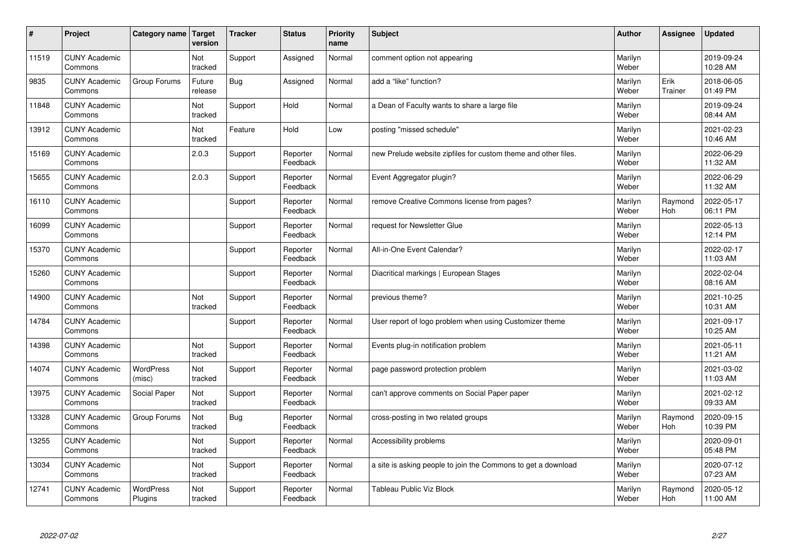| #     | Project                         | Category name               | Target<br>version | <b>Tracker</b> | <b>Status</b>        | <b>Priority</b><br>name | <b>Subject</b>                                                 | <b>Author</b>    | Assignee        | <b>Updated</b>         |
|-------|---------------------------------|-----------------------------|-------------------|----------------|----------------------|-------------------------|----------------------------------------------------------------|------------------|-----------------|------------------------|
| 11519 | <b>CUNY Academic</b><br>Commons |                             | Not<br>tracked    | Support        | Assigned             | Normal                  | comment option not appearing                                   | Marilyn<br>Weber |                 | 2019-09-24<br>10:28 AM |
| 9835  | <b>CUNY Academic</b><br>Commons | Group Forums                | Future<br>release | Bug            | Assigned             | Normal                  | add a "like" function?                                         | Marilyn<br>Weber | Erik<br>Trainer | 2018-06-05<br>01:49 PM |
| 11848 | <b>CUNY Academic</b><br>Commons |                             | Not<br>tracked    | Support        | Hold                 | Normal                  | a Dean of Faculty wants to share a large file                  | Marilyn<br>Weber |                 | 2019-09-24<br>08:44 AM |
| 13912 | <b>CUNY Academic</b><br>Commons |                             | Not<br>tracked    | Feature        | Hold                 | Low                     | posting "missed schedule"                                      | Marilyn<br>Weber |                 | 2021-02-23<br>10:46 AM |
| 15169 | <b>CUNY Academic</b><br>Commons |                             | 2.0.3             | Support        | Reporter<br>Feedback | Normal                  | new Prelude website zipfiles for custom theme and other files. | Marilyn<br>Weber |                 | 2022-06-29<br>11:32 AM |
| 15655 | <b>CUNY Academic</b><br>Commons |                             | 2.0.3             | Support        | Reporter<br>Feedback | Normal                  | Event Aggregator plugin?                                       | Marilyn<br>Weber |                 | 2022-06-29<br>11:32 AM |
| 16110 | <b>CUNY Academic</b><br>Commons |                             |                   | Support        | Reporter<br>Feedback | Normal                  | remove Creative Commons license from pages?                    | Marilyn<br>Weber | Raymond<br>Hoh  | 2022-05-17<br>06:11 PM |
| 16099 | <b>CUNY Academic</b><br>Commons |                             |                   | Support        | Reporter<br>Feedback | Normal                  | request for Newsletter Glue                                    | Marilyn<br>Weber |                 | 2022-05-13<br>12:14 PM |
| 15370 | <b>CUNY Academic</b><br>Commons |                             |                   | Support        | Reporter<br>Feedback | Normal                  | All-in-One Event Calendar?                                     | Marilyn<br>Weber |                 | 2022-02-17<br>11:03 AM |
| 15260 | <b>CUNY Academic</b><br>Commons |                             |                   | Support        | Reporter<br>Feedback | Normal                  | Diacritical markings   European Stages                         | Marilyn<br>Weber |                 | 2022-02-04<br>08:16 AM |
| 14900 | <b>CUNY Academic</b><br>Commons |                             | Not<br>tracked    | Support        | Reporter<br>Feedback | Normal                  | previous theme?                                                | Marilyn<br>Weber |                 | 2021-10-25<br>10:31 AM |
| 14784 | <b>CUNY Academic</b><br>Commons |                             |                   | Support        | Reporter<br>Feedback | Normal                  | User report of logo problem when using Customizer theme        | Marilyn<br>Weber |                 | 2021-09-17<br>10:25 AM |
| 14398 | <b>CUNY Academic</b><br>Commons |                             | Not<br>tracked    | Support        | Reporter<br>Feedback | Normal                  | Events plug-in notification problem                            | Marilyn<br>Weber |                 | 2021-05-11<br>11:21 AM |
| 14074 | <b>CUNY Academic</b><br>Commons | <b>WordPress</b><br>(misc)  | Not<br>tracked    | Support        | Reporter<br>Feedback | Normal                  | page password protection problem                               | Marilyn<br>Weber |                 | 2021-03-02<br>11:03 AM |
| 13975 | <b>CUNY Academic</b><br>Commons | Social Paper                | Not<br>tracked    | Support        | Reporter<br>Feedback | Normal                  | can't approve comments on Social Paper paper                   | Marilyn<br>Weber |                 | 2021-02-12<br>09:33 AM |
| 13328 | <b>CUNY Academic</b><br>Commons | Group Forums                | Not<br>tracked    | Bug            | Reporter<br>Feedback | Normal                  | cross-posting in two related groups                            | Marilyn<br>Weber | Raymond<br>Hoh  | 2020-09-15<br>10:39 PM |
| 13255 | <b>CUNY Academic</b><br>Commons |                             | Not<br>tracked    | Support        | Reporter<br>Feedback | Normal                  | Accessibility problems                                         | Marilyn<br>Weber |                 | 2020-09-01<br>05:48 PM |
| 13034 | <b>CUNY Academic</b><br>Commons |                             | Not<br>tracked    | Support        | Reporter<br>Feedback | Normal                  | a site is asking people to join the Commons to get a download  | Marilyn<br>Weber |                 | 2020-07-12<br>07:23 AM |
| 12741 | <b>CUNY Academic</b><br>Commons | <b>WordPress</b><br>Plugins | Not<br>tracked    | Support        | Reporter<br>Feedback | Normal                  | Tableau Public Viz Block                                       | Marilyn<br>Weber | Raymond<br>Hoh  | 2020-05-12<br>11:00 AM |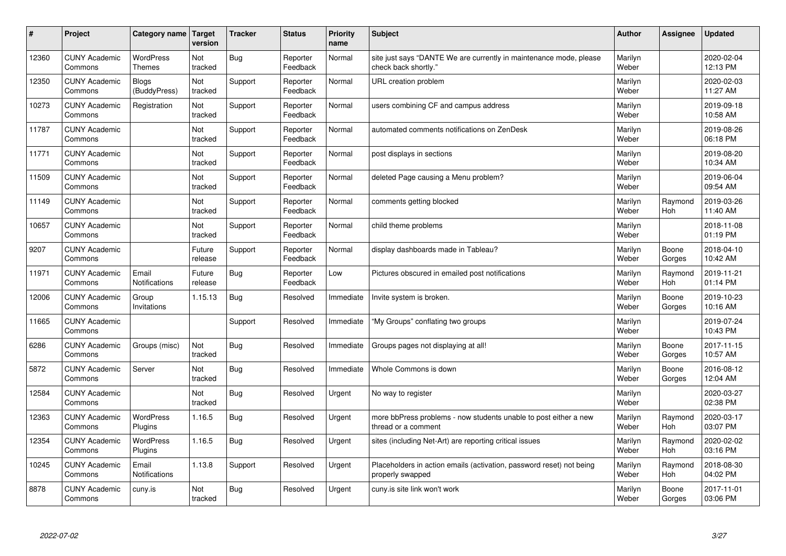| #     | Project                         | Category name   Target            | version           | <b>Tracker</b> | <b>Status</b>        | <b>Priority</b><br>name | <b>Subject</b>                                                                             | <b>Author</b>    | <b>Assignee</b>       | <b>Updated</b>         |
|-------|---------------------------------|-----------------------------------|-------------------|----------------|----------------------|-------------------------|--------------------------------------------------------------------------------------------|------------------|-----------------------|------------------------|
| 12360 | <b>CUNY Academic</b><br>Commons | <b>WordPress</b><br><b>Themes</b> | Not<br>tracked    | <b>Bug</b>     | Reporter<br>Feedback | Normal                  | site just says "DANTE We are currently in maintenance mode, please<br>check back shortly." | Marilyn<br>Weber |                       | 2020-02-04<br>12:13 PM |
| 12350 | <b>CUNY Academic</b><br>Commons | <b>Blogs</b><br>(BuddyPress)      | Not<br>tracked    | Support        | Reporter<br>Feedback | Normal                  | URL creation problem                                                                       | Marilyn<br>Weber |                       | 2020-02-03<br>11:27 AM |
| 10273 | <b>CUNY Academic</b><br>Commons | Registration                      | Not<br>tracked    | Support        | Reporter<br>Feedback | Normal                  | users combining CF and campus address                                                      | Marilyn<br>Weber |                       | 2019-09-18<br>10:58 AM |
| 11787 | <b>CUNY Academic</b><br>Commons |                                   | Not<br>tracked    | Support        | Reporter<br>Feedback | Normal                  | automated comments notifications on ZenDesk                                                | Marilyn<br>Weber |                       | 2019-08-26<br>06:18 PM |
| 11771 | <b>CUNY Academic</b><br>Commons |                                   | Not<br>tracked    | Support        | Reporter<br>Feedback | Normal                  | post displays in sections                                                                  | Marilyn<br>Weber |                       | 2019-08-20<br>10:34 AM |
| 11509 | <b>CUNY Academic</b><br>Commons |                                   | Not<br>tracked    | Support        | Reporter<br>Feedback | Normal                  | deleted Page causing a Menu problem?                                                       | Marilyn<br>Weber |                       | 2019-06-04<br>09:54 AM |
| 11149 | <b>CUNY Academic</b><br>Commons |                                   | Not<br>tracked    | Support        | Reporter<br>Feedback | Normal                  | comments getting blocked                                                                   | Marilyn<br>Weber | Raymond<br><b>Hoh</b> | 2019-03-26<br>11:40 AM |
| 10657 | <b>CUNY Academic</b><br>Commons |                                   | Not<br>tracked    | Support        | Reporter<br>Feedback | Normal                  | child theme problems                                                                       | Marilyn<br>Weber |                       | 2018-11-08<br>01:19 PM |
| 9207  | <b>CUNY Academic</b><br>Commons |                                   | Future<br>release | Support        | Reporter<br>Feedback | Normal                  | display dashboards made in Tableau?                                                        | Marilyn<br>Weber | Boone<br>Gorges       | 2018-04-10<br>10:42 AM |
| 11971 | <b>CUNY Academic</b><br>Commons | Email<br>Notifications            | Future<br>release | Bug            | Reporter<br>Feedback | Low                     | Pictures obscured in emailed post notifications                                            | Marilyn<br>Weber | Raymond<br>Hoh        | 2019-11-21<br>01:14 PM |
| 12006 | <b>CUNY Academic</b><br>Commons | Group<br>Invitations              | 1.15.13           | Bug            | Resolved             | Immediate               | Invite system is broken.                                                                   | Marilyn<br>Weber | Boone<br>Gorges       | 2019-10-23<br>10:16 AM |
| 11665 | <b>CUNY Academic</b><br>Commons |                                   |                   | Support        | Resolved             | Immediate               | "My Groups" conflating two groups                                                          | Marilyn<br>Weber |                       | 2019-07-24<br>10:43 PM |
| 6286  | <b>CUNY Academic</b><br>Commons | Groups (misc)                     | Not<br>tracked    | Bug            | Resolved             | Immediate               | Groups pages not displaying at all!                                                        | Marilyn<br>Weber | Boone<br>Gorges       | 2017-11-15<br>10:57 AM |
| 5872  | <b>CUNY Academic</b><br>Commons | Server                            | Not<br>tracked    | Bug            | Resolved             | Immediate               | Whole Commons is down                                                                      | Marilyn<br>Weber | Boone<br>Gorges       | 2016-08-12<br>12:04 AM |
| 12584 | <b>CUNY Academic</b><br>Commons |                                   | Not<br>tracked    | Bug            | Resolved             | Urgent                  | No way to register                                                                         | Marilyn<br>Weber |                       | 2020-03-27<br>02:38 PM |
| 12363 | <b>CUNY Academic</b><br>Commons | WordPress<br>Plugins              | 1.16.5            | <b>Bug</b>     | Resolved             | Urgent                  | more bbPress problems - now students unable to post either a new<br>thread or a comment    | Marilyn<br>Weber | Raymond<br>Hoh        | 2020-03-17<br>03:07 PM |
| 12354 | <b>CUNY Academic</b><br>Commons | WordPress<br>Plugins              | 1.16.5            | <b>Bug</b>     | Resolved             | Urgent                  | sites (including Net-Art) are reporting critical issues                                    | Marilyn<br>Weber | Raymond<br>Hoh        | 2020-02-02<br>03:16 PM |
| 10245 | <b>CUNY Academic</b><br>Commons | Email<br><b>Notifications</b>     | 1.13.8            | Support        | Resolved             | Urgent                  | Placeholders in action emails (activation, password reset) not being<br>properly swapped   | Marilyn<br>Weber | Raymond<br>Hoh        | 2018-08-30<br>04:02 PM |
| 8878  | <b>CUNY Academic</b><br>Commons | cuny.is                           | Not<br>tracked    | Bug            | Resolved             | Urgent                  | cuny is site link won't work                                                               | Marilyn<br>Weber | Boone<br>Gorges       | 2017-11-01<br>03:06 PM |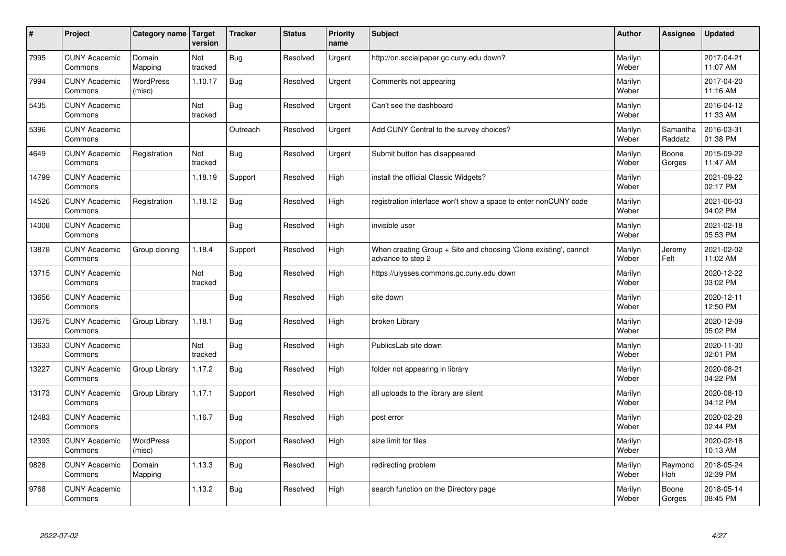| $\pmb{\sharp}$ | Project                         | Category name              | Target<br>version | <b>Tracker</b> | <b>Status</b> | <b>Priority</b><br>name | <b>Subject</b>                                                                        | <b>Author</b>    | Assignee            | <b>Updated</b>         |
|----------------|---------------------------------|----------------------------|-------------------|----------------|---------------|-------------------------|---------------------------------------------------------------------------------------|------------------|---------------------|------------------------|
| 7995           | <b>CUNY Academic</b><br>Commons | Domain<br>Mapping          | Not<br>tracked    | <b>Bug</b>     | Resolved      | Urgent                  | http://on.socialpaper.gc.cuny.edu down?                                               | Marilyn<br>Weber |                     | 2017-04-21<br>11:07 AM |
| 7994           | <b>CUNY Academic</b><br>Commons | <b>WordPress</b><br>(misc) | 1.10.17           | <b>Bug</b>     | Resolved      | Urgent                  | Comments not appearing                                                                | Marilyn<br>Weber |                     | 2017-04-20<br>11:16 AM |
| 5435           | <b>CUNY Academic</b><br>Commons |                            | Not<br>tracked    | <b>Bug</b>     | Resolved      | Urgent                  | Can't see the dashboard                                                               | Marilyn<br>Weber |                     | 2016-04-12<br>11:33 AM |
| 5396           | <b>CUNY Academic</b><br>Commons |                            |                   | Outreach       | Resolved      | Urgent                  | Add CUNY Central to the survey choices?                                               | Marilyn<br>Weber | Samantha<br>Raddatz | 2016-03-31<br>01:38 PM |
| 4649           | <b>CUNY Academic</b><br>Commons | Registration               | Not<br>tracked    | <b>Bug</b>     | Resolved      | Urgent                  | Submit button has disappeared                                                         | Marilyn<br>Weber | Boone<br>Gorges     | 2015-09-22<br>11:47 AM |
| 14799          | <b>CUNY Academic</b><br>Commons |                            | 1.18.19           | Support        | Resolved      | High                    | install the official Classic Widgets?                                                 | Marilyn<br>Weber |                     | 2021-09-22<br>02:17 PM |
| 14526          | <b>CUNY Academic</b><br>Commons | Registration               | 1.18.12           | <b>Bug</b>     | Resolved      | High                    | registration interface won't show a space to enter nonCUNY code                       | Marilyn<br>Weber |                     | 2021-06-03<br>04:02 PM |
| 14008          | <b>CUNY Academic</b><br>Commons |                            |                   | <b>Bug</b>     | Resolved      | High                    | invisible user                                                                        | Marilyn<br>Weber |                     | 2021-02-18<br>05:53 PM |
| 13878          | <b>CUNY Academic</b><br>Commons | Group cloning              | 1.18.4            | Support        | Resolved      | High                    | When creating Group + Site and choosing 'Clone existing', cannot<br>advance to step 2 | Marilyn<br>Weber | Jeremy<br>Felt      | 2021-02-02<br>11:02 AM |
| 13715          | <b>CUNY Academic</b><br>Commons |                            | Not<br>tracked    | <b>Bug</b>     | Resolved      | High                    | https://ulysses.commons.gc.cuny.edu down                                              | Marilyn<br>Weber |                     | 2020-12-22<br>03:02 PM |
| 13656          | <b>CUNY Academic</b><br>Commons |                            |                   | <b>Bug</b>     | Resolved      | High                    | site down                                                                             | Marilyn<br>Weber |                     | 2020-12-11<br>12:50 PM |
| 13675          | <b>CUNY Academic</b><br>Commons | Group Library              | 1.18.1            | Bug            | Resolved      | High                    | broken Library                                                                        | Marilyn<br>Weber |                     | 2020-12-09<br>05:02 PM |
| 13633          | <b>CUNY Academic</b><br>Commons |                            | Not<br>tracked    | <b>Bug</b>     | Resolved      | High                    | PublicsLab site down                                                                  | Marilyn<br>Weber |                     | 2020-11-30<br>02:01 PM |
| 13227          | <b>CUNY Academic</b><br>Commons | Group Library              | 1.17.2            | <b>Bug</b>     | Resolved      | High                    | folder not appearing in library                                                       | Marilyn<br>Weber |                     | 2020-08-21<br>04:22 PM |
| 13173          | <b>CUNY Academic</b><br>Commons | Group Library              | 1.17.1            | Support        | Resolved      | High                    | all uploads to the library are silent                                                 | Marilyn<br>Weber |                     | 2020-08-10<br>04:12 PM |
| 12483          | <b>CUNY Academic</b><br>Commons |                            | 1.16.7            | Bug            | Resolved      | High                    | post error                                                                            | Marilyn<br>Weber |                     | 2020-02-28<br>02:44 PM |
| 12393          | <b>CUNY Academic</b><br>Commons | <b>WordPress</b><br>(misc) |                   | Support        | Resolved      | High                    | size limit for files                                                                  | Marilyn<br>Weber |                     | 2020-02-18<br>10:13 AM |
| 9828           | <b>CUNY Academic</b><br>Commons | Domain<br>Mapping          | 1.13.3            | Bug            | Resolved      | High                    | redirecting problem                                                                   | Marilyn<br>Weber | Raymond<br>Hoh      | 2018-05-24<br>02:39 PM |
| 9768           | <b>CUNY Academic</b><br>Commons |                            | 1.13.2            | <b>Bug</b>     | Resolved      | High                    | search function on the Directory page                                                 | Marilyn<br>Weber | Boone<br>Gorges     | 2018-05-14<br>08:45 PM |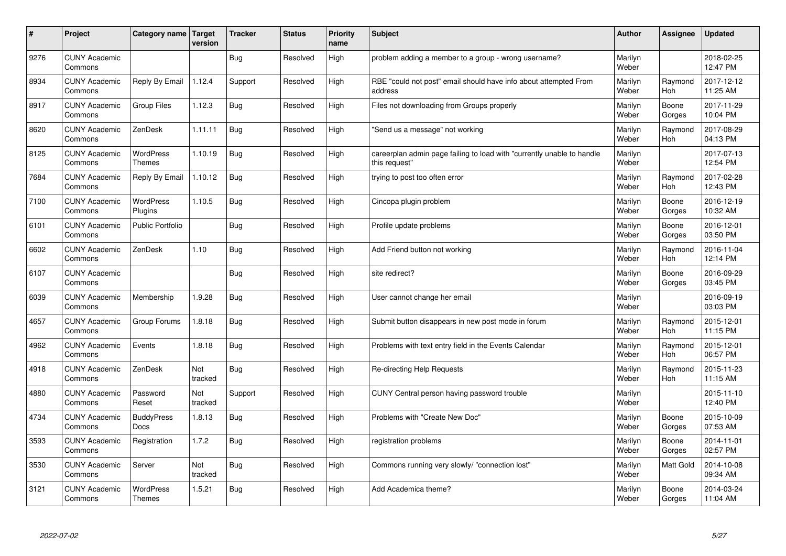| $\sharp$ | Project                         | Category name   Target            | version        | <b>Tracker</b> | <b>Status</b> | <b>Priority</b><br>name | <b>Subject</b>                                                                          | <b>Author</b>    | Assignee              | <b>Updated</b>         |
|----------|---------------------------------|-----------------------------------|----------------|----------------|---------------|-------------------------|-----------------------------------------------------------------------------------------|------------------|-----------------------|------------------------|
| 9276     | <b>CUNY Academic</b><br>Commons |                                   |                | Bug            | Resolved      | High                    | problem adding a member to a group - wrong username?                                    | Marilyn<br>Weber |                       | 2018-02-25<br>12:47 PM |
| 8934     | <b>CUNY Academic</b><br>Commons | Reply By Email                    | 1.12.4         | Support        | Resolved      | High                    | RBE "could not post" email should have info about attempted From<br>address             | Marilyn<br>Weber | Raymond<br><b>Hoh</b> | 2017-12-12<br>11:25 AM |
| 8917     | <b>CUNY Academic</b><br>Commons | <b>Group Files</b>                | 1.12.3         | <b>Bug</b>     | Resolved      | High                    | Files not downloading from Groups properly                                              | Marilyn<br>Weber | Boone<br>Gorges       | 2017-11-29<br>10:04 PM |
| 8620     | <b>CUNY Academic</b><br>Commons | ZenDesk                           | 1.11.11        | Bug            | Resolved      | High                    | 'Send us a message" not working                                                         | Marilyn<br>Weber | Raymond<br>Hoh        | 2017-08-29<br>04:13 PM |
| 8125     | <b>CUNY Academic</b><br>Commons | <b>WordPress</b><br><b>Themes</b> | 1.10.19        | Bug            | Resolved      | High                    | careerplan admin page failing to load with "currently unable to handle<br>this request" | Marilyn<br>Weber |                       | 2017-07-13<br>12:54 PM |
| 7684     | <b>CUNY Academic</b><br>Commons | Reply By Email                    | 1.10.12        | <b>Bug</b>     | Resolved      | High                    | trying to post too often error                                                          | Marilyn<br>Weber | Raymond<br>Hoh        | 2017-02-28<br>12:43 PM |
| 7100     | <b>CUNY Academic</b><br>Commons | <b>WordPress</b><br>Plugins       | 1.10.5         | Bug            | Resolved      | High                    | Cincopa plugin problem                                                                  | Marilyn<br>Weber | Boone<br>Gorges       | 2016-12-19<br>10:32 AM |
| 6101     | <b>CUNY Academic</b><br>Commons | <b>Public Portfolio</b>           |                | Bug            | Resolved      | High                    | Profile update problems                                                                 | Marilyn<br>Weber | Boone<br>Gorges       | 2016-12-01<br>03:50 PM |
| 6602     | <b>CUNY Academic</b><br>Commons | ZenDesk                           | 1.10           | Bug            | Resolved      | High                    | Add Friend button not working                                                           | Marilyn<br>Weber | Raymond<br>Hoh        | 2016-11-04<br>12:14 PM |
| 6107     | <b>CUNY Academic</b><br>Commons |                                   |                | Bug            | Resolved      | High                    | site redirect?                                                                          | Marilyn<br>Weber | Boone<br>Gorges       | 2016-09-29<br>03:45 PM |
| 6039     | <b>CUNY Academic</b><br>Commons | Membership                        | 1.9.28         | Bug            | Resolved      | High                    | User cannot change her email                                                            | Marilyn<br>Weber |                       | 2016-09-19<br>03:03 PM |
| 4657     | <b>CUNY Academic</b><br>Commons | Group Forums                      | 1.8.18         | <b>Bug</b>     | Resolved      | High                    | Submit button disappears in new post mode in forum                                      | Marilyn<br>Weber | Raymond<br><b>Hoh</b> | 2015-12-01<br>11:15 PM |
| 4962     | <b>CUNY Academic</b><br>Commons | Events                            | 1.8.18         | Bug            | Resolved      | High                    | Problems with text entry field in the Events Calendar                                   | Marilyn<br>Weber | Raymond<br>Hoh        | 2015-12-01<br>06:57 PM |
| 4918     | <b>CUNY Academic</b><br>Commons | ZenDesk                           | Not<br>tracked | Bug            | Resolved      | High                    | Re-directing Help Requests                                                              | Marilyn<br>Weber | Raymond<br>Hoh        | 2015-11-23<br>11:15 AM |
| 4880     | <b>CUNY Academic</b><br>Commons | Password<br>Reset                 | Not<br>tracked | Support        | Resolved      | High                    | CUNY Central person having password trouble                                             | Marilyn<br>Weber |                       | 2015-11-10<br>12:40 PM |
| 4734     | <b>CUNY Academic</b><br>Commons | <b>BuddyPress</b><br>Docs         | 1.8.13         | Bug            | Resolved      | High                    | Problems with "Create New Doc"                                                          | Marilyn<br>Weber | Boone<br>Gorges       | 2015-10-09<br>07:53 AM |
| 3593     | <b>CUNY Academic</b><br>Commons | Registration                      | 1.7.2          | Bug            | Resolved      | High                    | registration problems                                                                   | Marilyn<br>Weber | Boone<br>Gorges       | 2014-11-01<br>02:57 PM |
| 3530     | <b>CUNY Academic</b><br>Commons | Server                            | Not<br>tracked | Bug            | Resolved      | High                    | Commons running very slowly/ "connection lost"                                          | Marilyn<br>Weber | <b>Matt Gold</b>      | 2014-10-08<br>09:34 AM |
| 3121     | <b>CUNY Academic</b><br>Commons | WordPress<br><b>Themes</b>        | 1.5.21         | Bug            | Resolved      | High                    | Add Academica theme?                                                                    | Marilyn<br>Weber | Boone<br>Gorges       | 2014-03-24<br>11:04 AM |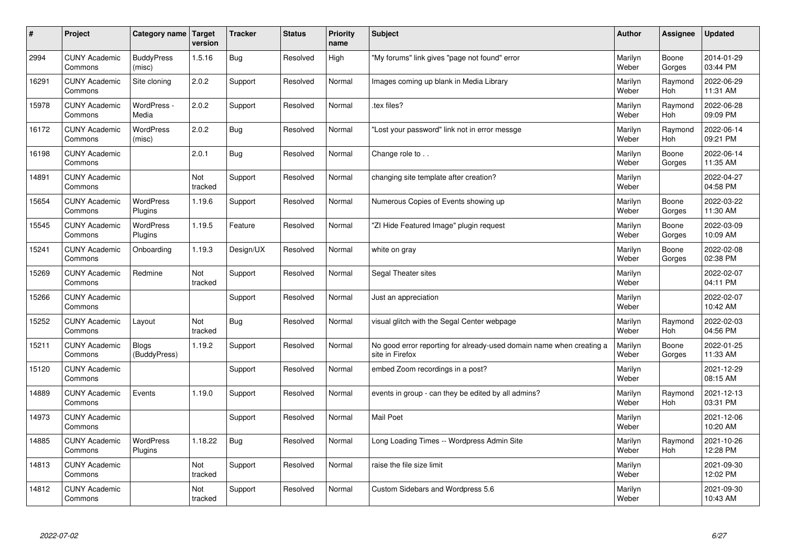| $\vert$ # | Project                         | Category name                | Target<br>version | <b>Tracker</b> | <b>Status</b> | <b>Priority</b><br>name | <b>Subject</b>                                                                          | <b>Author</b>    | Assignee              | <b>Updated</b>         |
|-----------|---------------------------------|------------------------------|-------------------|----------------|---------------|-------------------------|-----------------------------------------------------------------------------------------|------------------|-----------------------|------------------------|
| 2994      | <b>CUNY Academic</b><br>Commons | <b>BuddyPress</b><br>(misc)  | 1.5.16            | Bug            | Resolved      | High                    | "My forums" link gives "page not found" error                                           | Marilyn<br>Weber | Boone<br>Gorges       | 2014-01-29<br>03:44 PM |
| 16291     | <b>CUNY Academic</b><br>Commons | Site cloning                 | 2.0.2             | Support        | Resolved      | Normal                  | Images coming up blank in Media Library                                                 | Marilyn<br>Weber | Raymond<br><b>Hoh</b> | 2022-06-29<br>11:31 AM |
| 15978     | <b>CUNY Academic</b><br>Commons | WordPress -<br>Media         | 2.0.2             | Support        | Resolved      | Normal                  | .tex files?                                                                             | Marilyn<br>Weber | Raymond<br><b>Hoh</b> | 2022-06-28<br>09:09 PM |
| 16172     | <b>CUNY Academic</b><br>Commons | <b>WordPress</b><br>(misc)   | 2.0.2             | <b>Bug</b>     | Resolved      | Normal                  | 'Lost your password" link not in error messge                                           | Marilyn<br>Weber | Raymond<br><b>Hoh</b> | 2022-06-14<br>09:21 PM |
| 16198     | <b>CUNY Academic</b><br>Commons |                              | 2.0.1             | Bug            | Resolved      | Normal                  | Change role to                                                                          | Marilyn<br>Weber | Boone<br>Gorges       | 2022-06-14<br>11:35 AM |
| 14891     | <b>CUNY Academic</b><br>Commons |                              | Not<br>tracked    | Support        | Resolved      | Normal                  | changing site template after creation?                                                  | Marilyn<br>Weber |                       | 2022-04-27<br>04:58 PM |
| 15654     | <b>CUNY Academic</b><br>Commons | <b>WordPress</b><br>Plugins  | 1.19.6            | Support        | Resolved      | Normal                  | Numerous Copies of Events showing up                                                    | Marilyn<br>Weber | Boone<br>Gorges       | 2022-03-22<br>11:30 AM |
| 15545     | <b>CUNY Academic</b><br>Commons | <b>WordPress</b><br>Plugins  | 1.19.5            | Feature        | Resolved      | Normal                  | 'ZI Hide Featured Image" plugin reguest                                                 | Marilyn<br>Weber | Boone<br>Gorges       | 2022-03-09<br>10:09 AM |
| 15241     | <b>CUNY Academic</b><br>Commons | Onboarding                   | 1.19.3            | Design/UX      | Resolved      | Normal                  | white on gray                                                                           | Marilyn<br>Weber | Boone<br>Gorges       | 2022-02-08<br>02:38 PM |
| 15269     | <b>CUNY Academic</b><br>Commons | Redmine                      | Not<br>tracked    | Support        | Resolved      | Normal                  | Segal Theater sites                                                                     | Marilyn<br>Weber |                       | 2022-02-07<br>04:11 PM |
| 15266     | <b>CUNY Academic</b><br>Commons |                              |                   | Support        | Resolved      | Normal                  | Just an appreciation                                                                    | Marilyn<br>Weber |                       | 2022-02-07<br>10:42 AM |
| 15252     | <b>CUNY Academic</b><br>Commons | Layout                       | Not<br>tracked    | Bug            | Resolved      | Normal                  | visual glitch with the Segal Center webpage                                             | Marilyn<br>Weber | Raymond<br>Hoh        | 2022-02-03<br>04:56 PM |
| 15211     | <b>CUNY Academic</b><br>Commons | <b>Blogs</b><br>(BuddyPress) | 1.19.2            | Support        | Resolved      | Normal                  | No good error reporting for already-used domain name when creating a<br>site in Firefox | Marilyn<br>Weber | Boone<br>Gorges       | 2022-01-25<br>11:33 AM |
| 15120     | <b>CUNY Academic</b><br>Commons |                              |                   | Support        | Resolved      | Normal                  | embed Zoom recordings in a post?                                                        | Marilyn<br>Weber |                       | 2021-12-29<br>08:15 AM |
| 14889     | <b>CUNY Academic</b><br>Commons | Events                       | 1.19.0            | Support        | Resolved      | Normal                  | events in group - can they be edited by all admins?                                     | Marilyn<br>Weber | Raymond<br>Hoh        | 2021-12-13<br>03:31 PM |
| 14973     | <b>CUNY Academic</b><br>Commons |                              |                   | Support        | Resolved      | Normal                  | <b>Mail Poet</b>                                                                        | Marilyn<br>Weber |                       | 2021-12-06<br>10:20 AM |
| 14885     | <b>CUNY Academic</b><br>Commons | <b>WordPress</b><br>Plugins  | 1.18.22           | <b>Bug</b>     | Resolved      | Normal                  | Long Loading Times -- Wordpress Admin Site                                              | Marilyn<br>Weber | Raymond<br>Hoh        | 2021-10-26<br>12:28 PM |
| 14813     | <b>CUNY Academic</b><br>Commons |                              | Not<br>tracked    | Support        | Resolved      | Normal                  | raise the file size limit                                                               | Marilyn<br>Weber |                       | 2021-09-30<br>12:02 PM |
| 14812     | <b>CUNY Academic</b><br>Commons |                              | Not<br>tracked    | Support        | Resolved      | Normal                  | Custom Sidebars and Wordpress 5.6                                                       | Marilyn<br>Weber |                       | 2021-09-30<br>10:43 AM |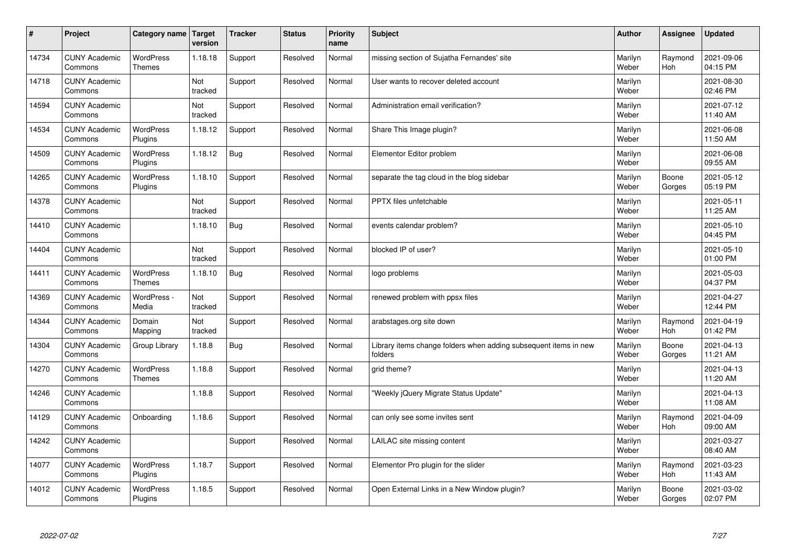| $\sharp$ | Project                         | Category name   Target      | version        | <b>Tracker</b> | <b>Status</b> | <b>Priority</b><br>name | <b>Subject</b>                                                              | <b>Author</b>    | Assignee              | <b>Updated</b>         |
|----------|---------------------------------|-----------------------------|----------------|----------------|---------------|-------------------------|-----------------------------------------------------------------------------|------------------|-----------------------|------------------------|
| 14734    | <b>CUNY Academic</b><br>Commons | <b>WordPress</b><br>Themes  | 1.18.18        | Support        | Resolved      | Normal                  | missing section of Sujatha Fernandes' site                                  | Marilyn<br>Weber | Raymond<br><b>Hoh</b> | 2021-09-06<br>04:15 PM |
| 14718    | <b>CUNY Academic</b><br>Commons |                             | Not<br>tracked | Support        | Resolved      | Normal                  | User wants to recover deleted account                                       | Marilyn<br>Weber |                       | 2021-08-30<br>02:46 PM |
| 14594    | <b>CUNY Academic</b><br>Commons |                             | Not<br>tracked | Support        | Resolved      | Normal                  | Administration email verification?                                          | Marilyn<br>Weber |                       | 2021-07-12<br>11:40 AM |
| 14534    | <b>CUNY Academic</b><br>Commons | <b>WordPress</b><br>Plugins | 1.18.12        | Support        | Resolved      | Normal                  | Share This Image plugin?                                                    | Marilyn<br>Weber |                       | 2021-06-08<br>11:50 AM |
| 14509    | <b>CUNY Academic</b><br>Commons | <b>WordPress</b><br>Plugins | 1.18.12        | <b>Bug</b>     | Resolved      | Normal                  | Elementor Editor problem                                                    | Marilyn<br>Weber |                       | 2021-06-08<br>09:55 AM |
| 14265    | <b>CUNY Academic</b><br>Commons | WordPress<br>Plugins        | 1.18.10        | Support        | Resolved      | Normal                  | separate the tag cloud in the blog sidebar                                  | Marilyn<br>Weber | Boone<br>Gorges       | 2021-05-12<br>05:19 PM |
| 14378    | <b>CUNY Academic</b><br>Commons |                             | Not<br>tracked | Support        | Resolved      | Normal                  | PPTX files unfetchable                                                      | Marilyn<br>Weber |                       | 2021-05-11<br>11:25 AM |
| 14410    | <b>CUNY Academic</b><br>Commons |                             | 1.18.10        | Bug            | Resolved      | Normal                  | events calendar problem?                                                    | Marilyn<br>Weber |                       | 2021-05-10<br>04:45 PM |
| 14404    | <b>CUNY Academic</b><br>Commons |                             | Not<br>tracked | Support        | Resolved      | Normal                  | blocked IP of user?                                                         | Marilyn<br>Weber |                       | 2021-05-10<br>01:00 PM |
| 14411    | <b>CUNY Academic</b><br>Commons | WordPress<br><b>Themes</b>  | 1.18.10        | Bug            | Resolved      | Normal                  | logo problems                                                               | Marilyn<br>Weber |                       | 2021-05-03<br>04:37 PM |
| 14369    | <b>CUNY Academic</b><br>Commons | WordPress -<br>Media        | Not<br>tracked | Support        | Resolved      | Normal                  | renewed problem with ppsx files                                             | Marilyn<br>Weber |                       | 2021-04-27<br>12:44 PM |
| 14344    | <b>CUNY Academic</b><br>Commons | Domain<br>Mapping           | Not<br>tracked | Support        | Resolved      | Normal                  | arabstages.org site down                                                    | Marilyn<br>Weber | Raymond<br>Hoh        | 2021-04-19<br>01:42 PM |
| 14304    | <b>CUNY Academic</b><br>Commons | Group Library               | 1.18.8         | Bug            | Resolved      | Normal                  | Library items change folders when adding subsequent items in new<br>folders | Marilyn<br>Weber | Boone<br>Gorges       | 2021-04-13<br>11:21 AM |
| 14270    | <b>CUNY Academic</b><br>Commons | WordPress<br><b>Themes</b>  | 1.18.8         | Support        | Resolved      | Normal                  | grid theme?                                                                 | Marilyn<br>Weber |                       | 2021-04-13<br>11:20 AM |
| 14246    | <b>CUNY Academic</b><br>Commons |                             | 1.18.8         | Support        | Resolved      | Normal                  | 'Weekly jQuery Migrate Status Update"                                       | Marilyn<br>Weber |                       | 2021-04-13<br>11:08 AM |
| 14129    | <b>CUNY Academic</b><br>Commons | Onboarding                  | 1.18.6         | Support        | Resolved      | Normal                  | can only see some invites sent                                              | Marilyn<br>Weber | Raymond<br>Hoh        | 2021-04-09<br>09:00 AM |
| 14242    | <b>CUNY Academic</b><br>Commons |                             |                | Support        | Resolved      | Normal                  | LAILAC site missing content                                                 | Marilyn<br>Weber |                       | 2021-03-27<br>08:40 AM |
| 14077    | <b>CUNY Academic</b><br>Commons | <b>WordPress</b><br>Plugins | 1.18.7         | Support        | Resolved      | Normal                  | Elementor Pro plugin for the slider                                         | Marilyn<br>Weber | Raymond<br>Hoh        | 2021-03-23<br>11:43 AM |
| 14012    | <b>CUNY Academic</b><br>Commons | <b>WordPress</b><br>Plugins | 1.18.5         | Support        | Resolved      | Normal                  | Open External Links in a New Window plugin?                                 | Marilyn<br>Weber | Boone<br>Gorges       | 2021-03-02<br>02:07 PM |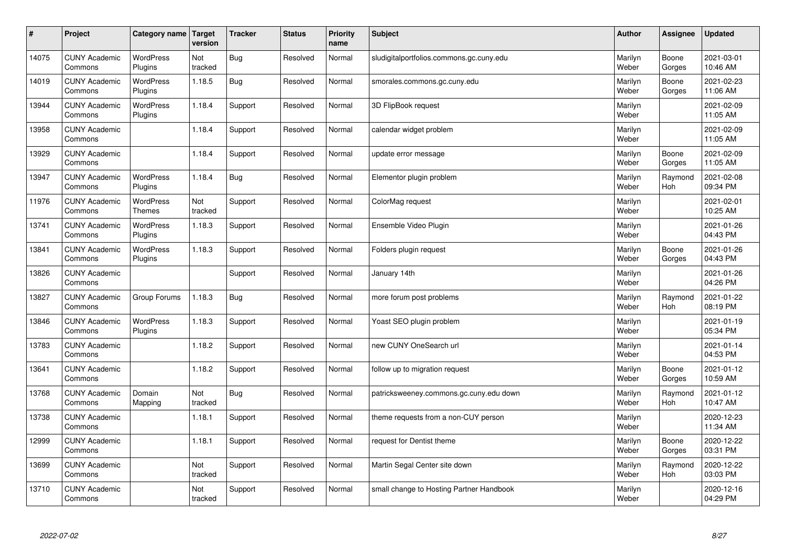| $\sharp$ | Project                         | Category name Target              | version        | <b>Tracker</b> | <b>Status</b> | <b>Priority</b><br>name | <b>Subject</b>                           | <b>Author</b>    | Assignee              | <b>Updated</b>         |
|----------|---------------------------------|-----------------------------------|----------------|----------------|---------------|-------------------------|------------------------------------------|------------------|-----------------------|------------------------|
| 14075    | <b>CUNY Academic</b><br>Commons | <b>WordPress</b><br>Plugins       | Not<br>tracked | Bug            | Resolved      | Normal                  | sludigitalportfolios.commons.gc.cuny.edu | Marilyn<br>Weber | Boone<br>Gorges       | 2021-03-01<br>10:46 AM |
| 14019    | <b>CUNY Academic</b><br>Commons | <b>WordPress</b><br>Plugins       | 1.18.5         | Bug            | Resolved      | Normal                  | smorales.commons.gc.cuny.edu             | Marilyn<br>Weber | Boone<br>Gorges       | 2021-02-23<br>11:06 AM |
| 13944    | <b>CUNY Academic</b><br>Commons | <b>WordPress</b><br>Plugins       | 1.18.4         | Support        | Resolved      | Normal                  | 3D FlipBook request                      | Marilyn<br>Weber |                       | 2021-02-09<br>11:05 AM |
| 13958    | <b>CUNY Academic</b><br>Commons |                                   | 1.18.4         | Support        | Resolved      | Normal                  | calendar widget problem                  | Marilyn<br>Weber |                       | 2021-02-09<br>11:05 AM |
| 13929    | <b>CUNY Academic</b><br>Commons |                                   | 1.18.4         | Support        | Resolved      | Normal                  | update error message                     | Marilyn<br>Weber | Boone<br>Gorges       | 2021-02-09<br>11:05 AM |
| 13947    | <b>CUNY Academic</b><br>Commons | <b>WordPress</b><br>Plugins       | 1.18.4         | Bug            | Resolved      | Normal                  | Elementor plugin problem                 | Marilyn<br>Weber | Raymond<br>Hoh        | 2021-02-08<br>09:34 PM |
| 11976    | <b>CUNY Academic</b><br>Commons | <b>WordPress</b><br><b>Themes</b> | Not<br>tracked | Support        | Resolved      | Normal                  | ColorMag request                         | Marilyn<br>Weber |                       | 2021-02-01<br>10:25 AM |
| 13741    | <b>CUNY Academic</b><br>Commons | WordPress<br>Plugins              | 1.18.3         | Support        | Resolved      | Normal                  | Ensemble Video Plugin                    | Marilyn<br>Weber |                       | 2021-01-26<br>04:43 PM |
| 13841    | <b>CUNY Academic</b><br>Commons | <b>WordPress</b><br>Plugins       | 1.18.3         | Support        | Resolved      | Normal                  | Folders plugin request                   | Marilyn<br>Weber | Boone<br>Gorges       | 2021-01-26<br>04:43 PM |
| 13826    | <b>CUNY Academic</b><br>Commons |                                   |                | Support        | Resolved      | Normal                  | January 14th                             | Marilyn<br>Weber |                       | 2021-01-26<br>04:26 PM |
| 13827    | <b>CUNY Academic</b><br>Commons | Group Forums                      | 1.18.3         | Bug            | Resolved      | Normal                  | more forum post problems                 | Marilyn<br>Weber | Raymond<br>Hoh        | 2021-01-22<br>08:19 PM |
| 13846    | <b>CUNY Academic</b><br>Commons | <b>WordPress</b><br>Plugins       | 1.18.3         | Support        | Resolved      | Normal                  | Yoast SEO plugin problem                 | Marilyn<br>Weber |                       | 2021-01-19<br>05:34 PM |
| 13783    | <b>CUNY Academic</b><br>Commons |                                   | 1.18.2         | Support        | Resolved      | Normal                  | new CUNY OneSearch url                   | Marilyn<br>Weber |                       | 2021-01-14<br>04:53 PM |
| 13641    | <b>CUNY Academic</b><br>Commons |                                   | 1.18.2         | Support        | Resolved      | Normal                  | follow up to migration request           | Marilyn<br>Weber | Boone<br>Gorges       | 2021-01-12<br>10:59 AM |
| 13768    | <b>CUNY Academic</b><br>Commons | Domain<br>Mapping                 | Not<br>tracked | <b>Bug</b>     | Resolved      | Normal                  | patricksweeney.commons.gc.cuny.edu down  | Marilyn<br>Weber | Raymond<br>Hoh        | 2021-01-12<br>10:47 AM |
| 13738    | <b>CUNY Academic</b><br>Commons |                                   | 1.18.1         | Support        | Resolved      | Normal                  | theme requests from a non-CUY person     | Marilyn<br>Weber |                       | 2020-12-23<br>11:34 AM |
| 12999    | <b>CUNY Academic</b><br>Commons |                                   | 1.18.1         | Support        | Resolved      | Normal                  | request for Dentist theme                | Marilyn<br>Weber | Boone<br>Gorges       | 2020-12-22<br>03:31 PM |
| 13699    | <b>CUNY Academic</b><br>Commons |                                   | Not<br>tracked | Support        | Resolved      | Normal                  | Martin Segal Center site down            | Marilyn<br>Weber | Raymond<br><b>Hoh</b> | 2020-12-22<br>03:03 PM |
| 13710    | <b>CUNY Academic</b><br>Commons |                                   | Not<br>tracked | Support        | Resolved      | Normal                  | small change to Hosting Partner Handbook | Marilyn<br>Weber |                       | 2020-12-16<br>04:29 PM |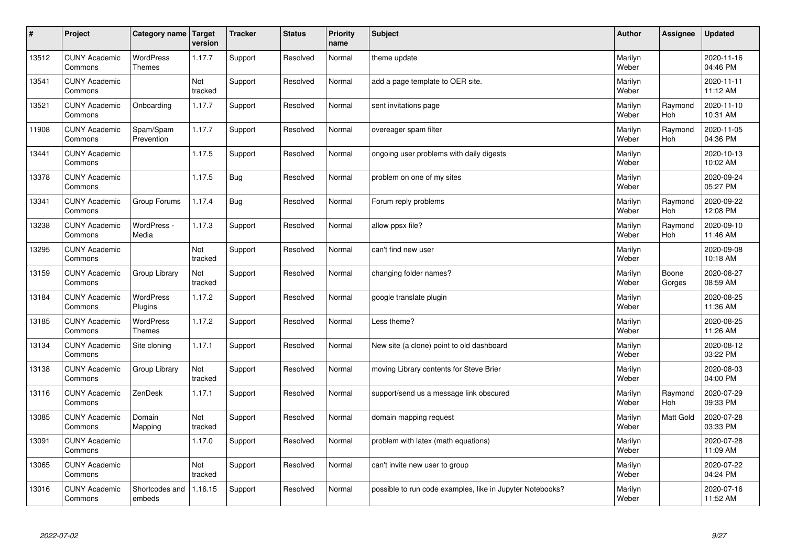| $\sharp$ | Project                         | Category name   Target            | version        | <b>Tracker</b> | <b>Status</b> | <b>Priority</b><br>name | <b>Subject</b>                                            | <b>Author</b>    | Assignee         | <b>Updated</b>         |
|----------|---------------------------------|-----------------------------------|----------------|----------------|---------------|-------------------------|-----------------------------------------------------------|------------------|------------------|------------------------|
| 13512    | <b>CUNY Academic</b><br>Commons | <b>WordPress</b><br><b>Themes</b> | 1.17.7         | Support        | Resolved      | Normal                  | theme update                                              | Marilyn<br>Weber |                  | 2020-11-16<br>04:46 PM |
| 13541    | <b>CUNY Academic</b><br>Commons |                                   | Not<br>tracked | Support        | Resolved      | Normal                  | add a page template to OER site.                          | Marilyn<br>Weber |                  | 2020-11-11<br>11:12 AM |
| 13521    | <b>CUNY Academic</b><br>Commons | Onboarding                        | 1.17.7         | Support        | Resolved      | Normal                  | sent invitations page                                     | Marilyn<br>Weber | Raymond<br>Hoh   | 2020-11-10<br>10:31 AM |
| 11908    | <b>CUNY Academic</b><br>Commons | Spam/Spam<br>Prevention           | 1.17.7         | Support        | Resolved      | Normal                  | overeager spam filter                                     | Marilyn<br>Weber | Raymond<br>Hoh   | 2020-11-05<br>04:36 PM |
| 13441    | <b>CUNY Academic</b><br>Commons |                                   | 1.17.5         | Support        | Resolved      | Normal                  | ongoing user problems with daily digests                  | Marilyn<br>Weber |                  | 2020-10-13<br>10:02 AM |
| 13378    | <b>CUNY Academic</b><br>Commons |                                   | 1.17.5         | <b>Bug</b>     | Resolved      | Normal                  | problem on one of my sites                                | Marilyn<br>Weber |                  | 2020-09-24<br>05:27 PM |
| 13341    | <b>CUNY Academic</b><br>Commons | Group Forums                      | 1.17.4         | Bug            | Resolved      | Normal                  | Forum reply problems                                      | Marilyn<br>Weber | Raymond<br>Hoh   | 2020-09-22<br>12:08 PM |
| 13238    | <b>CUNY Academic</b><br>Commons | WordPress -<br>Media              | 1.17.3         | Support        | Resolved      | Normal                  | allow ppsx file?                                          | Marilyn<br>Weber | Raymond<br>Hoh   | 2020-09-10<br>11:46 AM |
| 13295    | <b>CUNY Academic</b><br>Commons |                                   | Not<br>tracked | Support        | Resolved      | Normal                  | can't find new user                                       | Marilyn<br>Weber |                  | 2020-09-08<br>10:18 AM |
| 13159    | <b>CUNY Academic</b><br>Commons | Group Library                     | Not<br>tracked | Support        | Resolved      | Normal                  | changing folder names?                                    | Marilyn<br>Weber | Boone<br>Gorges  | 2020-08-27<br>08:59 AM |
| 13184    | <b>CUNY Academic</b><br>Commons | <b>WordPress</b><br>Plugins       | 1.17.2         | Support        | Resolved      | Normal                  | google translate plugin                                   | Marilyn<br>Weber |                  | 2020-08-25<br>11:36 AM |
| 13185    | <b>CUNY Academic</b><br>Commons | <b>WordPress</b><br><b>Themes</b> | 1.17.2         | Support        | Resolved      | Normal                  | Less theme?                                               | Marilyn<br>Weber |                  | 2020-08-25<br>11:26 AM |
| 13134    | <b>CUNY Academic</b><br>Commons | Site cloning                      | 1.17.1         | Support        | Resolved      | Normal                  | New site (a clone) point to old dashboard                 | Marilyn<br>Weber |                  | 2020-08-12<br>03:22 PM |
| 13138    | <b>CUNY Academic</b><br>Commons | Group Library                     | Not<br>tracked | Support        | Resolved      | Normal                  | moving Library contents for Steve Brier                   | Marilyn<br>Weber |                  | 2020-08-03<br>04:00 PM |
| 13116    | <b>CUNY Academic</b><br>Commons | ZenDesk                           | 1.17.1         | Support        | Resolved      | Normal                  | support/send us a message link obscured                   | Marilyn<br>Weber | Raymond<br>Hoh   | 2020-07-29<br>09:33 PM |
| 13085    | <b>CUNY Academic</b><br>Commons | Domain<br>Mapping                 | Not<br>tracked | Support        | Resolved      | Normal                  | domain mapping request                                    | Marilyn<br>Weber | <b>Matt Gold</b> | 2020-07-28<br>03:33 PM |
| 13091    | <b>CUNY Academic</b><br>Commons |                                   | 1.17.0         | Support        | Resolved      | Normal                  | problem with latex (math equations)                       | Marilyn<br>Weber |                  | 2020-07-28<br>11:09 AM |
| 13065    | <b>CUNY Academic</b><br>Commons |                                   | Not<br>tracked | Support        | Resolved      | Normal                  | can't invite new user to group                            | Marilyn<br>Weber |                  | 2020-07-22<br>04:24 PM |
| 13016    | <b>CUNY Academic</b><br>Commons | Shortcodes and<br>embeds          | 1.16.15        | Support        | Resolved      | Normal                  | possible to run code examples, like in Jupyter Notebooks? | Marilyn<br>Weber |                  | 2020-07-16<br>11:52 AM |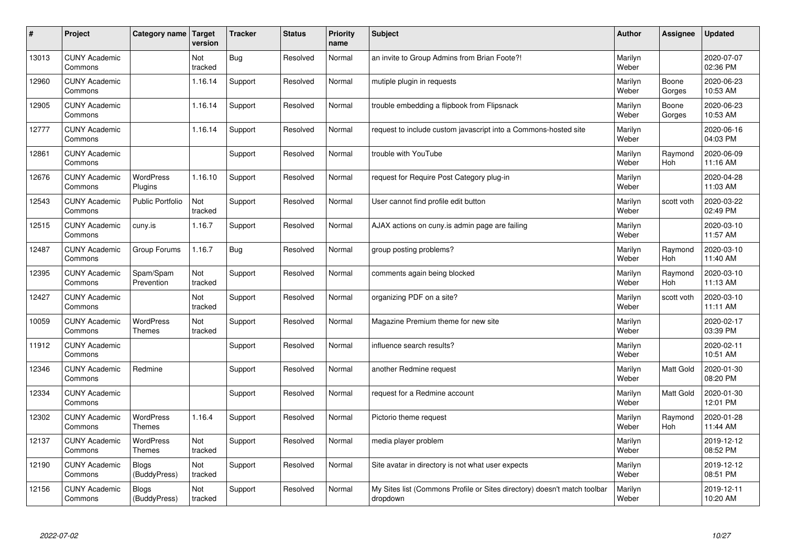| $\sharp$ | Project                         | Category name   Target            | version        | <b>Tracker</b> | <b>Status</b> | <b>Priority</b><br>name | <b>Subject</b>                                                                       | <b>Author</b>    | Assignee         | <b>Updated</b>         |
|----------|---------------------------------|-----------------------------------|----------------|----------------|---------------|-------------------------|--------------------------------------------------------------------------------------|------------------|------------------|------------------------|
| 13013    | <b>CUNY Academic</b><br>Commons |                                   | Not<br>tracked | Bug            | Resolved      | Normal                  | an invite to Group Admins from Brian Foote?!                                         | Marilyn<br>Weber |                  | 2020-07-07<br>02:36 PM |
| 12960    | <b>CUNY Academic</b><br>Commons |                                   | 1.16.14        | Support        | Resolved      | Normal                  | mutiple plugin in requests                                                           | Marilyn<br>Weber | Boone<br>Gorges  | 2020-06-23<br>10:53 AM |
| 12905    | <b>CUNY Academic</b><br>Commons |                                   | 1.16.14        | Support        | Resolved      | Normal                  | trouble embedding a flipbook from Flipsnack                                          | Marilyn<br>Weber | Boone<br>Gorges  | 2020-06-23<br>10:53 AM |
| 12777    | <b>CUNY Academic</b><br>Commons |                                   | 1.16.14        | Support        | Resolved      | Normal                  | request to include custom javascript into a Commons-hosted site                      | Marilyn<br>Weber |                  | 2020-06-16<br>04:03 PM |
| 12861    | <b>CUNY Academic</b><br>Commons |                                   |                | Support        | Resolved      | Normal                  | trouble with YouTube                                                                 | Marilyn<br>Weber | Raymond<br>Hoh   | 2020-06-09<br>11:16 AM |
| 12676    | <b>CUNY Academic</b><br>Commons | <b>WordPress</b><br>Plugins       | 1.16.10        | Support        | Resolved      | Normal                  | request for Require Post Category plug-in                                            | Marilyn<br>Weber |                  | 2020-04-28<br>11:03 AM |
| 12543    | <b>CUNY Academic</b><br>Commons | <b>Public Portfolio</b>           | Not<br>tracked | Support        | Resolved      | Normal                  | User cannot find profile edit button                                                 | Marilyn<br>Weber | scott voth       | 2020-03-22<br>02:49 PM |
| 12515    | <b>CUNY Academic</b><br>Commons | cuny.is                           | 1.16.7         | Support        | Resolved      | Normal                  | AJAX actions on cuny.is admin page are failing                                       | Marilyn<br>Weber |                  | 2020-03-10<br>11:57 AM |
| 12487    | <b>CUNY Academic</b><br>Commons | Group Forums                      | 1.16.7         | Bug            | Resolved      | Normal                  | group posting problems?                                                              | Marilyn<br>Weber | Raymond<br>Hoh   | 2020-03-10<br>11:40 AM |
| 12395    | <b>CUNY Academic</b><br>Commons | Spam/Spam<br>Prevention           | Not<br>tracked | Support        | Resolved      | Normal                  | comments again being blocked                                                         | Marilyn<br>Weber | Raymond<br>Hoh   | 2020-03-10<br>11:13 AM |
| 12427    | <b>CUNY Academic</b><br>Commons |                                   | Not<br>tracked | Support        | Resolved      | Normal                  | organizing PDF on a site?                                                            | Marilyn<br>Weber | scott voth       | 2020-03-10<br>11:11 AM |
| 10059    | <b>CUNY Academic</b><br>Commons | <b>WordPress</b><br><b>Themes</b> | Not<br>tracked | Support        | Resolved      | Normal                  | Magazine Premium theme for new site                                                  | Marilyn<br>Weber |                  | 2020-02-17<br>03:39 PM |
| 11912    | <b>CUNY Academic</b><br>Commons |                                   |                | Support        | Resolved      | Normal                  | influence search results?                                                            | Marilyn<br>Weber |                  | 2020-02-11<br>10:51 AM |
| 12346    | <b>CUNY Academic</b><br>Commons | Redmine                           |                | Support        | Resolved      | Normal                  | another Redmine request                                                              | Marilyn<br>Weber | <b>Matt Gold</b> | 2020-01-30<br>08:20 PM |
| 12334    | <b>CUNY Academic</b><br>Commons |                                   |                | Support        | Resolved      | Normal                  | request for a Redmine account                                                        | Marilyn<br>Weber | Matt Gold        | 2020-01-30<br>12:01 PM |
| 12302    | <b>CUNY Academic</b><br>Commons | WordPress<br><b>Themes</b>        | 1.16.4         | Support        | Resolved      | Normal                  | Pictorio theme request                                                               | Marilyn<br>Weber | Raymond<br>Hoh   | 2020-01-28<br>11:44 AM |
| 12137    | <b>CUNY Academic</b><br>Commons | <b>WordPress</b><br>Themes        | Not<br>tracked | Support        | Resolved      | Normal                  | media player problem                                                                 | Marilyn<br>Weber |                  | 2019-12-12<br>08:52 PM |
| 12190    | <b>CUNY Academic</b><br>Commons | <b>Blogs</b><br>(BuddyPress)      | Not<br>tracked | Support        | Resolved      | Normal                  | Site avatar in directory is not what user expects                                    | Marilyn<br>Weber |                  | 2019-12-12<br>08:51 PM |
| 12156    | <b>CUNY Academic</b><br>Commons | Blogs<br>(BuddyPress)             | Not<br>tracked | Support        | Resolved      | Normal                  | My Sites list (Commons Profile or Sites directory) doesn't match toolbar<br>dropdown | Marilyn<br>Weber |                  | 2019-12-11<br>10:20 AM |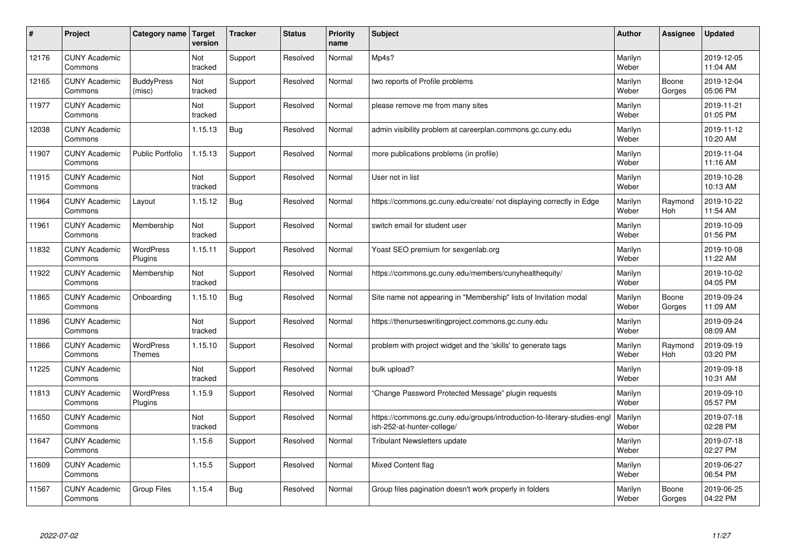| #     | Project                         | Category name                     | <b>Target</b><br>version | <b>Tracker</b> | <b>Status</b> | <b>Priority</b><br>name | <b>Subject</b>                                                                                         | <b>Author</b>    | Assignee        | <b>Updated</b>         |
|-------|---------------------------------|-----------------------------------|--------------------------|----------------|---------------|-------------------------|--------------------------------------------------------------------------------------------------------|------------------|-----------------|------------------------|
| 12176 | <b>CUNY Academic</b><br>Commons |                                   | Not<br>tracked           | Support        | Resolved      | Normal                  | Mp4s?                                                                                                  | Marilyn<br>Weber |                 | 2019-12-05<br>11:04 AM |
| 12165 | <b>CUNY Academic</b><br>Commons | <b>BuddyPress</b><br>(misc)       | Not<br>tracked           | Support        | Resolved      | Normal                  | two reports of Profile problems                                                                        | Marilyn<br>Weber | Boone<br>Gorges | 2019-12-04<br>05:06 PM |
| 11977 | <b>CUNY Academic</b><br>Commons |                                   | Not<br>tracked           | Support        | Resolved      | Normal                  | please remove me from many sites                                                                       | Marilyn<br>Weber |                 | 2019-11-21<br>01:05 PM |
| 12038 | <b>CUNY Academic</b><br>Commons |                                   | 1.15.13                  | Bug            | Resolved      | Normal                  | admin visibility problem at careerplan.commons.gc.cuny.edu                                             | Marilyn<br>Weber |                 | 2019-11-12<br>10:20 AM |
| 11907 | <b>CUNY Academic</b><br>Commons | <b>Public Portfolio</b>           | 1.15.13                  | Support        | Resolved      | Normal                  | more publications problems (in profile)                                                                | Marilyn<br>Weber |                 | 2019-11-04<br>11:16 AM |
| 11915 | <b>CUNY Academic</b><br>Commons |                                   | Not<br>tracked           | Support        | Resolved      | Normal                  | User not in list                                                                                       | Marilyn<br>Weber |                 | 2019-10-28<br>10:13 AM |
| 11964 | <b>CUNY Academic</b><br>Commons | Layout                            | 1.15.12                  | <b>Bug</b>     | Resolved      | Normal                  | https://commons.gc.cuny.edu/create/ not displaying correctly in Edge                                   | Marilyn<br>Weber | Raymond<br>Hoh  | 2019-10-22<br>11:54 AM |
| 11961 | <b>CUNY Academic</b><br>Commons | Membership                        | Not<br>tracked           | Support        | Resolved      | Normal                  | switch email for student user                                                                          | Marilyn<br>Weber |                 | 2019-10-09<br>01:56 PM |
| 11832 | <b>CUNY Academic</b><br>Commons | <b>WordPress</b><br>Plugins       | 1.15.11                  | Support        | Resolved      | Normal                  | Yoast SEO premium for sexgenlab.org                                                                    | Marilyn<br>Weber |                 | 2019-10-08<br>11:22 AM |
| 11922 | <b>CUNY Academic</b><br>Commons | Membership                        | Not<br>tracked           | Support        | Resolved      | Normal                  | https://commons.gc.cuny.edu/members/cunyhealthequity/                                                  | Marilyn<br>Weber |                 | 2019-10-02<br>04:05 PM |
| 11865 | <b>CUNY Academic</b><br>Commons | Onboarding                        | 1.15.10                  | <b>Bug</b>     | Resolved      | Normal                  | Site name not appearing in "Membership" lists of Invitation modal                                      | Marilyn<br>Weber | Boone<br>Gorges | 2019-09-24<br>11:09 AM |
| 11896 | <b>CUNY Academic</b><br>Commons |                                   | Not<br>tracked           | Support        | Resolved      | Normal                  | https://thenurseswritingproject.commons.gc.cuny.edu                                                    | Marilyn<br>Weber |                 | 2019-09-24<br>08:09 AM |
| 11866 | <b>CUNY Academic</b><br>Commons | <b>WordPress</b><br><b>Themes</b> | 1.15.10                  | Support        | Resolved      | Normal                  | problem with project widget and the 'skills' to generate tags                                          | Marilyn<br>Weber | Raymond<br>Hoh  | 2019-09-19<br>03:20 PM |
| 11225 | <b>CUNY Academic</b><br>Commons |                                   | Not<br>tracked           | Support        | Resolved      | Normal                  | bulk upload?                                                                                           | Marilyn<br>Weber |                 | 2019-09-18<br>10:31 AM |
| 11813 | <b>CUNY Academic</b><br>Commons | <b>WordPress</b><br>Plugins       | 1.15.9                   | Support        | Resolved      | Normal                  | 'Change Password Protected Message" plugin requests                                                    | Marilyn<br>Weber |                 | 2019-09-10<br>05:57 PM |
| 11650 | <b>CUNY Academic</b><br>Commons |                                   | Not<br>tracked           | Support        | Resolved      | Normal                  | https://commons.gc.cuny.edu/groups/introduction-to-literary-studies-engl<br>ish-252-at-hunter-college/ | Marilyn<br>Weber |                 | 2019-07-18<br>02:28 PM |
| 11647 | <b>CUNY Academic</b><br>Commons |                                   | 1.15.6                   | Support        | Resolved      | Normal                  | Tribulant Newsletters update                                                                           | Marilyn<br>Weber |                 | 2019-07-18<br>02:27 PM |
| 11609 | <b>CUNY Academic</b><br>Commons |                                   | 1.15.5                   | Support        | Resolved      | Normal                  | <b>Mixed Content flag</b>                                                                              | Marilyn<br>Weber |                 | 2019-06-27<br>06:54 PM |
| 11567 | <b>CUNY Academic</b><br>Commons | <b>Group Files</b>                | 1.15.4                   | Bug            | Resolved      | Normal                  | Group files pagination doesn't work properly in folders                                                | Marilyn<br>Weber | Boone<br>Gorges | 2019-06-25<br>04:22 PM |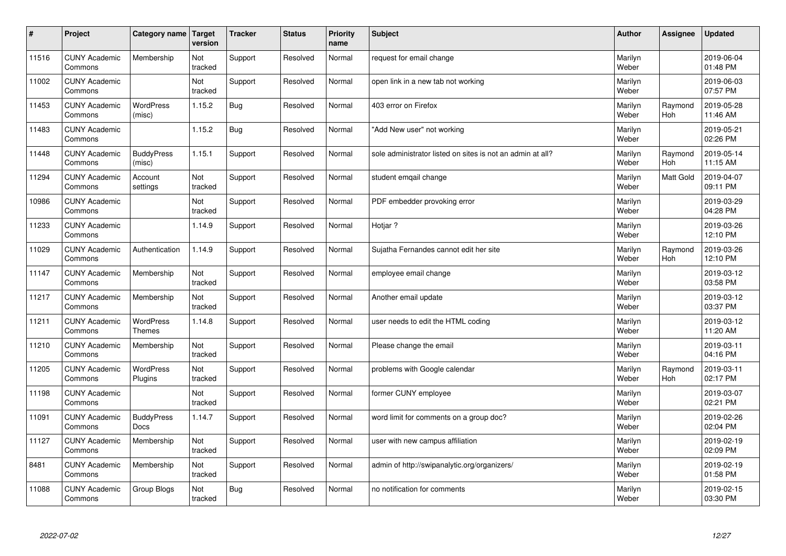| $\sharp$ | Project                         | Category name   Target            | version        | <b>Tracker</b> | <b>Status</b> | <b>Priority</b><br>name | <b>Subject</b>                                             | <b>Author</b>    | Assignee       | <b>Updated</b>         |
|----------|---------------------------------|-----------------------------------|----------------|----------------|---------------|-------------------------|------------------------------------------------------------|------------------|----------------|------------------------|
| 11516    | <b>CUNY Academic</b><br>Commons | Membership                        | Not<br>tracked | Support        | Resolved      | Normal                  | request for email change                                   | Marilyn<br>Weber |                | 2019-06-04<br>01:48 PM |
| 11002    | <b>CUNY Academic</b><br>Commons |                                   | Not<br>tracked | Support        | Resolved      | Normal                  | open link in a new tab not working                         | Marilyn<br>Weber |                | 2019-06-03<br>07:57 PM |
| 11453    | <b>CUNY Academic</b><br>Commons | <b>WordPress</b><br>(misc)        | 1.15.2         | Bug            | Resolved      | Normal                  | 403 error on Firefox                                       | Marilyn<br>Weber | Raymond<br>Hoh | 2019-05-28<br>11:46 AM |
| 11483    | <b>CUNY Academic</b><br>Commons |                                   | 1.15.2         | <b>Bug</b>     | Resolved      | Normal                  | 'Add New user" not working                                 | Marilyn<br>Weber |                | 2019-05-21<br>02:26 PM |
| 11448    | <b>CUNY Academic</b><br>Commons | <b>BuddyPress</b><br>(misc)       | 1.15.1         | Support        | Resolved      | Normal                  | sole administrator listed on sites is not an admin at all? | Marilyn<br>Weber | Raymond<br>Hoh | 2019-05-14<br>11:15 AM |
| 11294    | <b>CUNY Academic</b><br>Commons | Account<br>settings               | Not<br>tracked | Support        | Resolved      | Normal                  | student emgail change                                      | Marilyn<br>Weber | Matt Gold      | 2019-04-07<br>09:11 PM |
| 10986    | <b>CUNY Academic</b><br>Commons |                                   | Not<br>tracked | Support        | Resolved      | Normal                  | PDF embedder provoking error                               | Marilyn<br>Weber |                | 2019-03-29<br>04:28 PM |
| 11233    | <b>CUNY Academic</b><br>Commons |                                   | 1.14.9         | Support        | Resolved      | Normal                  | Hotjar?                                                    | Marilyn<br>Weber |                | 2019-03-26<br>12:10 PM |
| 11029    | <b>CUNY Academic</b><br>Commons | Authentication                    | 1.14.9         | Support        | Resolved      | Normal                  | Sujatha Fernandes cannot edit her site                     | Marilyn<br>Weber | Raymond<br>Hoh | 2019-03-26<br>12:10 PM |
| 11147    | <b>CUNY Academic</b><br>Commons | Membership                        | Not<br>tracked | Support        | Resolved      | Normal                  | employee email change                                      | Marilyn<br>Weber |                | 2019-03-12<br>03:58 PM |
| 11217    | <b>CUNY Academic</b><br>Commons | Membership                        | Not<br>tracked | Support        | Resolved      | Normal                  | Another email update                                       | Marilyn<br>Weber |                | 2019-03-12<br>03:37 PM |
| 11211    | <b>CUNY Academic</b><br>Commons | <b>WordPress</b><br><b>Themes</b> | 1.14.8         | Support        | Resolved      | Normal                  | user needs to edit the HTML coding                         | Marilyn<br>Weber |                | 2019-03-12<br>11:20 AM |
| 11210    | <b>CUNY Academic</b><br>Commons | Membership                        | Not<br>tracked | Support        | Resolved      | Normal                  | Please change the email                                    | Marilyn<br>Weber |                | 2019-03-11<br>04:16 PM |
| 11205    | <b>CUNY Academic</b><br>Commons | WordPress<br>Plugins              | Not<br>tracked | Support        | Resolved      | Normal                  | problems with Google calendar                              | Marilyn<br>Weber | Raymond<br>Hoh | 2019-03-11<br>02:17 PM |
| 11198    | <b>CUNY Academic</b><br>Commons |                                   | Not<br>tracked | Support        | Resolved      | Normal                  | former CUNY employee                                       | Marilyn<br>Weber |                | 2019-03-07<br>02:21 PM |
| 11091    | <b>CUNY Academic</b><br>Commons | <b>BuddyPress</b><br>Docs         | 1.14.7         | Support        | Resolved      | Normal                  | word limit for comments on a group doc?                    | Marilyn<br>Weber |                | 2019-02-26<br>02:04 PM |
| 11127    | <b>CUNY Academic</b><br>Commons | Membership                        | Not<br>tracked | Support        | Resolved      | Normal                  | user with new campus affiliation                           | Marilyn<br>Weber |                | 2019-02-19<br>02:09 PM |
| 8481     | <b>CUNY Academic</b><br>Commons | Membership                        | Not<br>tracked | Support        | Resolved      | Normal                  | admin of http://swipanalytic.org/organizers/               | Marilyn<br>Weber |                | 2019-02-19<br>01:58 PM |
| 11088    | <b>CUNY Academic</b><br>Commons | Group Blogs                       | Not<br>tracked | Bug            | Resolved      | Normal                  | no notification for comments                               | Marilyn<br>Weber |                | 2019-02-15<br>03:30 PM |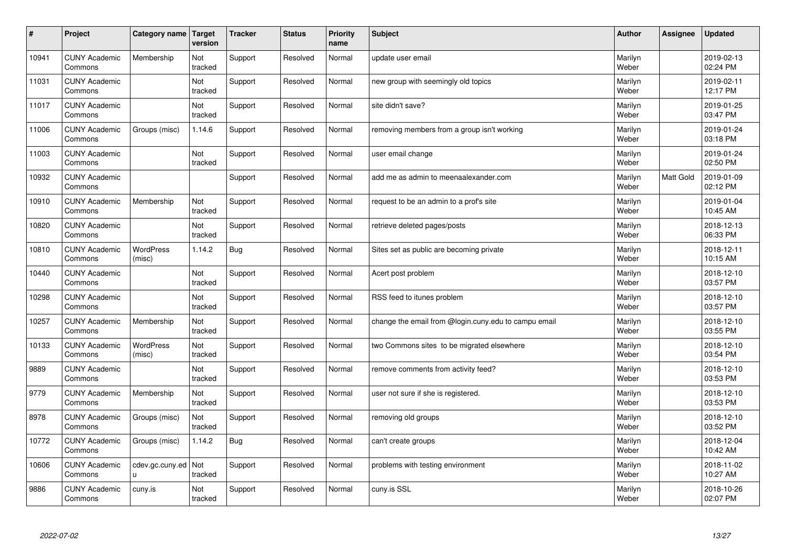| $\sharp$ | Project                         | Category name              | Target<br>version | <b>Tracker</b> | <b>Status</b> | <b>Priority</b><br>name | <b>Subject</b>                                       | <b>Author</b>    | Assignee  | <b>Updated</b>         |
|----------|---------------------------------|----------------------------|-------------------|----------------|---------------|-------------------------|------------------------------------------------------|------------------|-----------|------------------------|
| 10941    | <b>CUNY Academic</b><br>Commons | Membership                 | Not<br>tracked    | Support        | Resolved      | Normal                  | update user email                                    | Marilyn<br>Weber |           | 2019-02-13<br>02:24 PM |
| 11031    | <b>CUNY Academic</b><br>Commons |                            | Not<br>tracked    | Support        | Resolved      | Normal                  | new group with seemingly old topics                  | Marilyn<br>Weber |           | 2019-02-11<br>12:17 PM |
| 11017    | <b>CUNY Academic</b><br>Commons |                            | Not<br>tracked    | Support        | Resolved      | Normal                  | site didn't save?                                    | Marilyn<br>Weber |           | 2019-01-25<br>03:47 PM |
| 11006    | <b>CUNY Academic</b><br>Commons | Groups (misc)              | 1.14.6            | Support        | Resolved      | Normal                  | removing members from a group isn't working          | Marilyn<br>Weber |           | 2019-01-24<br>03:18 PM |
| 11003    | <b>CUNY Academic</b><br>Commons |                            | Not<br>tracked    | Support        | Resolved      | Normal                  | user email change                                    | Marilyn<br>Weber |           | 2019-01-24<br>02:50 PM |
| 10932    | <b>CUNY Academic</b><br>Commons |                            |                   | Support        | Resolved      | Normal                  | add me as admin to meenaalexander.com                | Marilyn<br>Weber | Matt Gold | 2019-01-09<br>02:12 PM |
| 10910    | <b>CUNY Academic</b><br>Commons | Membership                 | Not<br>tracked    | Support        | Resolved      | Normal                  | request to be an admin to a prof's site              | Marilyn<br>Weber |           | 2019-01-04<br>10:45 AM |
| 10820    | <b>CUNY Academic</b><br>Commons |                            | Not<br>tracked    | Support        | Resolved      | Normal                  | retrieve deleted pages/posts                         | Marilyn<br>Weber |           | 2018-12-13<br>06:33 PM |
| 10810    | <b>CUNY Academic</b><br>Commons | <b>WordPress</b><br>(misc) | 1.14.2            | Bug            | Resolved      | Normal                  | Sites set as public are becoming private             | Marilyn<br>Weber |           | 2018-12-11<br>10:15 AM |
| 10440    | <b>CUNY Academic</b><br>Commons |                            | Not<br>tracked    | Support        | Resolved      | Normal                  | Acert post problem                                   | Marilyn<br>Weber |           | 2018-12-10<br>03:57 PM |
| 10298    | <b>CUNY Academic</b><br>Commons |                            | Not<br>tracked    | Support        | Resolved      | Normal                  | RSS feed to itunes problem                           | Marilyn<br>Weber |           | 2018-12-10<br>03:57 PM |
| 10257    | <b>CUNY Academic</b><br>Commons | Membership                 | Not<br>tracked    | Support        | Resolved      | Normal                  | change the email from @login.cuny.edu to campu email | Marilyn<br>Weber |           | 2018-12-10<br>03:55 PM |
| 10133    | <b>CUNY Academic</b><br>Commons | WordPress<br>(misc)        | Not<br>tracked    | Support        | Resolved      | Normal                  | two Commons sites to be migrated elsewhere           | Marilyn<br>Weber |           | 2018-12-10<br>03:54 PM |
| 9889     | <b>CUNY Academic</b><br>Commons |                            | Not<br>tracked    | Support        | Resolved      | Normal                  | remove comments from activity feed?                  | Marilyn<br>Weber |           | 2018-12-10<br>03:53 PM |
| 9779     | <b>CUNY Academic</b><br>Commons | Membership                 | Not<br>tracked    | Support        | Resolved      | Normal                  | user not sure if she is registered.                  | Marilyn<br>Weber |           | 2018-12-10<br>03:53 PM |
| 8978     | <b>CUNY Academic</b><br>Commons | Groups (misc)              | Not<br>tracked    | Support        | Resolved      | Normal                  | removing old groups                                  | Marilyn<br>Weber |           | 2018-12-10<br>03:52 PM |
| 10772    | <b>CUNY Academic</b><br>Commons | Groups (misc)              | 1.14.2            | <b>Bug</b>     | Resolved      | Normal                  | can't create groups                                  | Marilyn<br>Weber |           | 2018-12-04<br>10:42 AM |
| 10606    | <b>CUNY Academic</b><br>Commons | cdev.gc.cuny.ed<br>u       | Not<br>tracked    | Support        | Resolved      | Normal                  | problems with testing environment                    | Marilyn<br>Weber |           | 2018-11-02<br>10:27 AM |
| 9886     | <b>CUNY Academic</b><br>Commons | cuny.is                    | Not<br>tracked    | Support        | Resolved      | Normal                  | cuny.is SSL                                          | Marilyn<br>Weber |           | 2018-10-26<br>02:07 PM |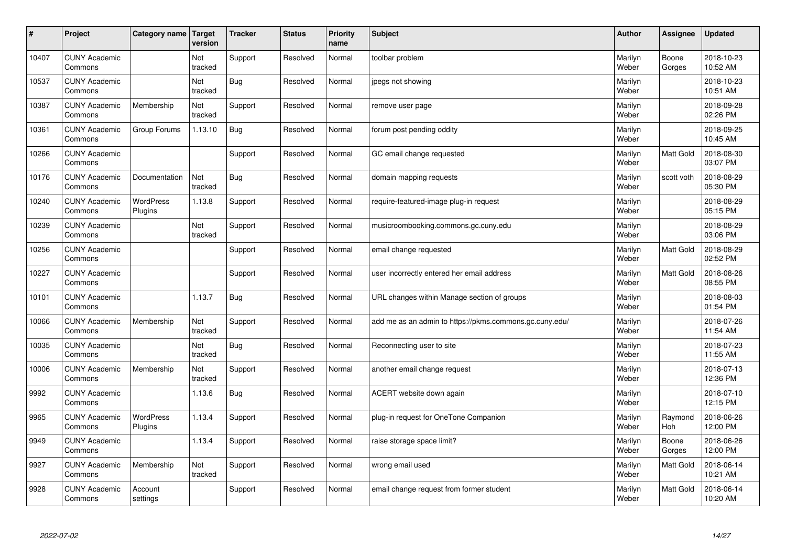| $\vert$ # | Project                         | Category name               | Target<br>version | <b>Tracker</b> | <b>Status</b> | <b>Priority</b><br>name | <b>Subject</b>                                          | <b>Author</b>    | Assignee         | <b>Updated</b>         |
|-----------|---------------------------------|-----------------------------|-------------------|----------------|---------------|-------------------------|---------------------------------------------------------|------------------|------------------|------------------------|
| 10407     | <b>CUNY Academic</b><br>Commons |                             | Not<br>tracked    | Support        | Resolved      | Normal                  | toolbar problem                                         | Marilyn<br>Weber | Boone<br>Gorges  | 2018-10-23<br>10:52 AM |
| 10537     | <b>CUNY Academic</b><br>Commons |                             | Not<br>tracked    | Bug            | Resolved      | Normal                  | jpegs not showing                                       | Marilyn<br>Weber |                  | 2018-10-23<br>10:51 AM |
| 10387     | <b>CUNY Academic</b><br>Commons | Membership                  | Not<br>tracked    | Support        | Resolved      | Normal                  | remove user page                                        | Marilyn<br>Weber |                  | 2018-09-28<br>02:26 PM |
| 10361     | <b>CUNY Academic</b><br>Commons | Group Forums                | 1.13.10           | Bug            | Resolved      | Normal                  | forum post pending oddity                               | Marilyn<br>Weber |                  | 2018-09-25<br>10:45 AM |
| 10266     | <b>CUNY Academic</b><br>Commons |                             |                   | Support        | Resolved      | Normal                  | GC email change requested                               | Marilyn<br>Weber | <b>Matt Gold</b> | 2018-08-30<br>03:07 PM |
| 10176     | <b>CUNY Academic</b><br>Commons | Documentation               | Not<br>tracked    | <b>Bug</b>     | Resolved      | Normal                  | domain mapping requests                                 | Marilyn<br>Weber | scott voth       | 2018-08-29<br>05:30 PM |
| 10240     | <b>CUNY Academic</b><br>Commons | WordPress<br>Plugins        | 1.13.8            | Support        | Resolved      | Normal                  | require-featured-image plug-in request                  | Marilyn<br>Weber |                  | 2018-08-29<br>05:15 PM |
| 10239     | <b>CUNY Academic</b><br>Commons |                             | Not<br>tracked    | Support        | Resolved      | Normal                  | musicroombooking.commons.gc.cuny.edu                    | Marilyn<br>Weber |                  | 2018-08-29<br>03:06 PM |
| 10256     | <b>CUNY Academic</b><br>Commons |                             |                   | Support        | Resolved      | Normal                  | email change requested                                  | Marilyn<br>Weber | <b>Matt Gold</b> | 2018-08-29<br>02:52 PM |
| 10227     | <b>CUNY Academic</b><br>Commons |                             |                   | Support        | Resolved      | Normal                  | user incorrectly entered her email address              | Marilyn<br>Weber | <b>Matt Gold</b> | 2018-08-26<br>08:55 PM |
| 10101     | <b>CUNY Academic</b><br>Commons |                             | 1.13.7            | <b>Bug</b>     | Resolved      | Normal                  | URL changes within Manage section of groups             | Marilyn<br>Weber |                  | 2018-08-03<br>01:54 PM |
| 10066     | <b>CUNY Academic</b><br>Commons | Membership                  | Not<br>tracked    | Support        | Resolved      | Normal                  | add me as an admin to https://pkms.commons.gc.cuny.edu/ | Marilyn<br>Weber |                  | 2018-07-26<br>11:54 AM |
| 10035     | <b>CUNY Academic</b><br>Commons |                             | Not<br>tracked    | <b>Bug</b>     | Resolved      | Normal                  | Reconnecting user to site                               | Marilyn<br>Weber |                  | 2018-07-23<br>11:55 AM |
| 10006     | <b>CUNY Academic</b><br>Commons | Membership                  | Not<br>tracked    | Support        | Resolved      | Normal                  | another email change request                            | Marilyn<br>Weber |                  | 2018-07-13<br>12:36 PM |
| 9992      | <b>CUNY Academic</b><br>Commons |                             | 1.13.6            | <b>Bug</b>     | Resolved      | Normal                  | ACERT website down again                                | Marilyn<br>Weber |                  | 2018-07-10<br>12:15 PM |
| 9965      | <b>CUNY Academic</b><br>Commons | <b>WordPress</b><br>Plugins | 1.13.4            | Support        | Resolved      | Normal                  | plug-in request for OneTone Companion                   | Marilyn<br>Weber | Raymond<br>Hoh   | 2018-06-26<br>12:00 PM |
| 9949      | <b>CUNY Academic</b><br>Commons |                             | 1.13.4            | Support        | Resolved      | Normal                  | raise storage space limit?                              | Marilyn<br>Weber | Boone<br>Gorges  | 2018-06-26<br>12:00 PM |
| 9927      | <b>CUNY Academic</b><br>Commons | Membership                  | Not<br>tracked    | Support        | Resolved      | Normal                  | wrong email used                                        | Marilyn<br>Weber | Matt Gold        | 2018-06-14<br>10:21 AM |
| 9928      | <b>CUNY Academic</b><br>Commons | Account<br>settings         |                   | Support        | Resolved      | Normal                  | email change request from former student                | Marilyn<br>Weber | <b>Matt Gold</b> | 2018-06-14<br>10:20 AM |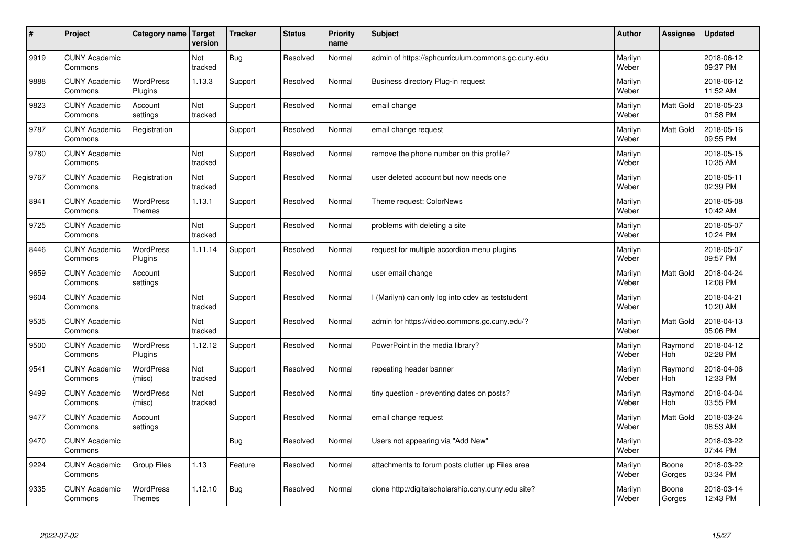| $\sharp$ | Project                         | Category name                     | Target<br>version | <b>Tracker</b> | <b>Status</b> | <b>Priority</b><br>name | <b>Subject</b>                                      | <b>Author</b>    | Assignee              | <b>Updated</b>         |
|----------|---------------------------------|-----------------------------------|-------------------|----------------|---------------|-------------------------|-----------------------------------------------------|------------------|-----------------------|------------------------|
| 9919     | <b>CUNY Academic</b><br>Commons |                                   | Not<br>tracked    | Bug            | Resolved      | Normal                  | admin of https://sphcurriculum.commons.gc.cuny.edu  | Marilyn<br>Weber |                       | 2018-06-12<br>09:37 PM |
| 9888     | <b>CUNY Academic</b><br>Commons | <b>WordPress</b><br>Plugins       | 1.13.3            | Support        | Resolved      | Normal                  | Business directory Plug-in request                  | Marilyn<br>Weber |                       | 2018-06-12<br>11:52 AM |
| 9823     | <b>CUNY Academic</b><br>Commons | Account<br>settings               | Not<br>tracked    | Support        | Resolved      | Normal                  | email change                                        | Marilyn<br>Weber | Matt Gold             | 2018-05-23<br>01:58 PM |
| 9787     | <b>CUNY Academic</b><br>Commons | Registration                      |                   | Support        | Resolved      | Normal                  | email change request                                | Marilyn<br>Weber | Matt Gold             | 2018-05-16<br>09:55 PM |
| 9780     | <b>CUNY Academic</b><br>Commons |                                   | Not<br>tracked    | Support        | Resolved      | Normal                  | remove the phone number on this profile?            | Marilyn<br>Weber |                       | 2018-05-15<br>10:35 AM |
| 9767     | <b>CUNY Academic</b><br>Commons | Registration                      | Not<br>tracked    | Support        | Resolved      | Normal                  | user deleted account but now needs one              | Marilyn<br>Weber |                       | 2018-05-11<br>02:39 PM |
| 8941     | <b>CUNY Academic</b><br>Commons | <b>WordPress</b><br><b>Themes</b> | 1.13.1            | Support        | Resolved      | Normal                  | Theme request: ColorNews                            | Marilyn<br>Weber |                       | 2018-05-08<br>10:42 AM |
| 9725     | <b>CUNY Academic</b><br>Commons |                                   | Not<br>tracked    | Support        | Resolved      | Normal                  | problems with deleting a site                       | Marilyn<br>Weber |                       | 2018-05-07<br>10:24 PM |
| 8446     | <b>CUNY Academic</b><br>Commons | <b>WordPress</b><br>Plugins       | 1.11.14           | Support        | Resolved      | Normal                  | request for multiple accordion menu plugins         | Marilyn<br>Weber |                       | 2018-05-07<br>09:57 PM |
| 9659     | <b>CUNY Academic</b><br>Commons | Account<br>settings               |                   | Support        | Resolved      | Normal                  | user email change                                   | Marilyn<br>Weber | Matt Gold             | 2018-04-24<br>12:08 PM |
| 9604     | <b>CUNY Academic</b><br>Commons |                                   | Not<br>tracked    | Support        | Resolved      | Normal                  | l (Marilyn) can only log into cdev as teststudent   | Marilyn<br>Weber |                       | 2018-04-21<br>10:20 AM |
| 9535     | <b>CUNY Academic</b><br>Commons |                                   | Not<br>tracked    | Support        | Resolved      | Normal                  | admin for https://video.commons.gc.cuny.edu/?       | Marilyn<br>Weber | Matt Gold             | 2018-04-13<br>05:06 PM |
| 9500     | <b>CUNY Academic</b><br>Commons | <b>WordPress</b><br>Plugins       | 1.12.12           | Support        | Resolved      | Normal                  | PowerPoint in the media library?                    | Marilyn<br>Weber | Raymond<br>Hoh        | 2018-04-12<br>02:28 PM |
| 9541     | <b>CUNY Academic</b><br>Commons | <b>WordPress</b><br>(misc)        | Not<br>tracked    | Support        | Resolved      | Normal                  | repeating header banner                             | Marilyn<br>Weber | Raymond<br><b>Hoh</b> | 2018-04-06<br>12:33 PM |
| 9499     | <b>CUNY Academic</b><br>Commons | <b>WordPress</b><br>(misc)        | Not<br>tracked    | Support        | Resolved      | Normal                  | tiny question - preventing dates on posts?          | Marilyn<br>Weber | Raymond<br><b>Hoh</b> | 2018-04-04<br>03:55 PM |
| 9477     | <b>CUNY Academic</b><br>Commons | Account<br>settings               |                   | Support        | Resolved      | Normal                  | email change request                                | Marilyn<br>Weber | <b>Matt Gold</b>      | 2018-03-24<br>08:53 AM |
| 9470     | <b>CUNY Academic</b><br>Commons |                                   |                   | Bug            | Resolved      | Normal                  | Users not appearing via "Add New"                   | Marilyn<br>Weber |                       | 2018-03-22<br>07:44 PM |
| 9224     | <b>CUNY Academic</b><br>Commons | <b>Group Files</b>                | 1.13              | Feature        | Resolved      | Normal                  | attachments to forum posts clutter up Files area    | Marilyn<br>Weber | Boone<br>Gorges       | 2018-03-22<br>03:34 PM |
| 9335     | <b>CUNY Academic</b><br>Commons | WordPress<br><b>Themes</b>        | 1.12.10           | Bug            | Resolved      | Normal                  | clone http://digitalscholarship.ccny.cuny.edu site? | Marilyn<br>Weber | Boone<br>Gorges       | 2018-03-14<br>12:43 PM |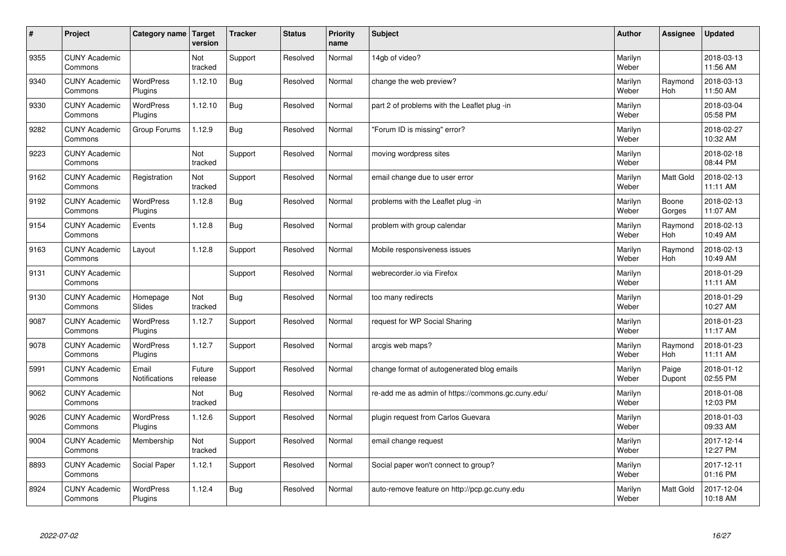| $\sharp$ | Project                         | Category name               | <b>Target</b><br>version | <b>Tracker</b> | <b>Status</b> | <b>Priority</b><br>name | <b>Subject</b>                                     | <b>Author</b>    | Assignee              | <b>Updated</b>         |
|----------|---------------------------------|-----------------------------|--------------------------|----------------|---------------|-------------------------|----------------------------------------------------|------------------|-----------------------|------------------------|
| 9355     | <b>CUNY Academic</b><br>Commons |                             | Not<br>tracked           | Support        | Resolved      | Normal                  | 14gb of video?                                     | Marilyn<br>Weber |                       | 2018-03-13<br>11:56 AM |
| 9340     | <b>CUNY Academic</b><br>Commons | <b>WordPress</b><br>Plugins | 1.12.10                  | Bug            | Resolved      | Normal                  | change the web preview?                            | Marilyn<br>Weber | Raymond<br>Hoh        | 2018-03-13<br>11:50 AM |
| 9330     | <b>CUNY Academic</b><br>Commons | <b>WordPress</b><br>Plugins | 1.12.10                  | Bug            | Resolved      | Normal                  | part 2 of problems with the Leaflet plug-in        | Marilyn<br>Weber |                       | 2018-03-04<br>05:58 PM |
| 9282     | <b>CUNY Academic</b><br>Commons | Group Forums                | 1.12.9                   | Bug            | Resolved      | Normal                  | 'Forum ID is missing" error?                       | Marilyn<br>Weber |                       | 2018-02-27<br>10:32 AM |
| 9223     | <b>CUNY Academic</b><br>Commons |                             | Not<br>tracked           | Support        | Resolved      | Normal                  | moving wordpress sites                             | Marilyn<br>Weber |                       | 2018-02-18<br>08:44 PM |
| 9162     | <b>CUNY Academic</b><br>Commons | Registration                | Not<br>tracked           | Support        | Resolved      | Normal                  | email change due to user error                     | Marilyn<br>Weber | Matt Gold             | 2018-02-13<br>11:11 AM |
| 9192     | <b>CUNY Academic</b><br>Commons | WordPress<br>Plugins        | 1.12.8                   | <b>Bug</b>     | Resolved      | Normal                  | problems with the Leaflet plug -in                 | Marilyn<br>Weber | Boone<br>Gorges       | 2018-02-13<br>11:07 AM |
| 9154     | <b>CUNY Academic</b><br>Commons | Events                      | 1.12.8                   | Bug            | Resolved      | Normal                  | problem with group calendar                        | Marilyn<br>Weber | Raymond<br>Hoh        | 2018-02-13<br>10:49 AM |
| 9163     | <b>CUNY Academic</b><br>Commons | Layout                      | 1.12.8                   | Support        | Resolved      | Normal                  | Mobile responsiveness issues                       | Marilyn<br>Weber | Raymond<br><b>Hoh</b> | 2018-02-13<br>10:49 AM |
| 9131     | <b>CUNY Academic</b><br>Commons |                             |                          | Support        | Resolved      | Normal                  | webrecorder.io via Firefox                         | Marilyn<br>Weber |                       | 2018-01-29<br>11:11 AM |
| 9130     | <b>CUNY Academic</b><br>Commons | Homepage<br><b>Slides</b>   | Not<br>tracked           | Bug            | Resolved      | Normal                  | too many redirects                                 | Marilyn<br>Weber |                       | 2018-01-29<br>10:27 AM |
| 9087     | <b>CUNY Academic</b><br>Commons | <b>WordPress</b><br>Plugins | 1.12.7                   | Support        | Resolved      | Normal                  | request for WP Social Sharing                      | Marilyn<br>Weber |                       | 2018-01-23<br>11:17 AM |
| 9078     | <b>CUNY Academic</b><br>Commons | <b>WordPress</b><br>Plugins | 1.12.7                   | Support        | Resolved      | Normal                  | arcgis web maps?                                   | Marilyn<br>Weber | Raymond<br>Hoh        | 2018-01-23<br>11:11 AM |
| 5991     | <b>CUNY Academic</b><br>Commons | Email<br>Notifications      | Future<br>release        | Support        | Resolved      | Normal                  | change format of autogenerated blog emails         | Marilyn<br>Weber | Paige<br>Dupont       | 2018-01-12<br>02:55 PM |
| 9062     | <b>CUNY Academic</b><br>Commons |                             | Not<br>tracked           | Bug            | Resolved      | Normal                  | re-add me as admin of https://commons.gc.cuny.edu/ | Marilyn<br>Weber |                       | 2018-01-08<br>12:03 PM |
| 9026     | <b>CUNY Academic</b><br>Commons | <b>WordPress</b><br>Plugins | 1.12.6                   | Support        | Resolved      | Normal                  | plugin request from Carlos Guevara                 | Marilyn<br>Weber |                       | 2018-01-03<br>09:33 AM |
| 9004     | <b>CUNY Academic</b><br>Commons | Membership                  | Not<br>tracked           | Support        | Resolved      | Normal                  | email change request                               | Marilyn<br>Weber |                       | 2017-12-14<br>12:27 PM |
| 8893     | <b>CUNY Academic</b><br>Commons | Social Paper                | 1.12.1                   | Support        | Resolved      | Normal                  | Social paper won't connect to group?               | Marilyn<br>Weber |                       | 2017-12-11<br>01:16 PM |
| 8924     | <b>CUNY Academic</b><br>Commons | <b>WordPress</b><br>Plugins | 1.12.4                   | Bug            | Resolved      | Normal                  | auto-remove feature on http://pcp.gc.cuny.edu      | Marilyn<br>Weber | <b>Matt Gold</b>      | 2017-12-04<br>10:18 AM |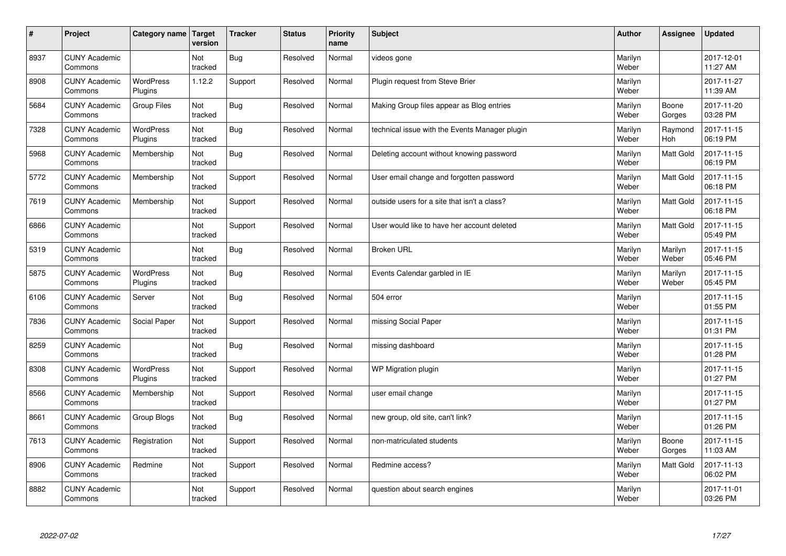| $\sharp$ | Project                         | Category name   Target      | version        | <b>Tracker</b> | <b>Status</b> | <b>Priority</b><br>name | <b>Subject</b>                                 | <b>Author</b>    | Assignee         | <b>Updated</b>         |
|----------|---------------------------------|-----------------------------|----------------|----------------|---------------|-------------------------|------------------------------------------------|------------------|------------------|------------------------|
| 8937     | <b>CUNY Academic</b><br>Commons |                             | Not<br>tracked | Bug            | Resolved      | Normal                  | videos gone                                    | Marilyn<br>Weber |                  | 2017-12-01<br>11:27 AM |
| 8908     | <b>CUNY Academic</b><br>Commons | <b>WordPress</b><br>Plugins | 1.12.2         | Support        | Resolved      | Normal                  | Plugin request from Steve Brier                | Marilyn<br>Weber |                  | 2017-11-27<br>11:39 AM |
| 5684     | <b>CUNY Academic</b><br>Commons | <b>Group Files</b>          | Not<br>tracked | Bug            | Resolved      | Normal                  | Making Group files appear as Blog entries      | Marilyn<br>Weber | Boone<br>Gorges  | 2017-11-20<br>03:28 PM |
| 7328     | <b>CUNY Academic</b><br>Commons | <b>WordPress</b><br>Plugins | Not<br>tracked | Bug            | Resolved      | Normal                  | technical issue with the Events Manager plugin | Marilyn<br>Weber | Raymond<br>Hoh   | 2017-11-15<br>06:19 PM |
| 5968     | <b>CUNY Academic</b><br>Commons | Membership                  | Not<br>tracked | Bug            | Resolved      | Normal                  | Deleting account without knowing password      | Marilyn<br>Weber | <b>Matt Gold</b> | 2017-11-15<br>06:19 PM |
| 5772     | <b>CUNY Academic</b><br>Commons | Membership                  | Not<br>tracked | Support        | Resolved      | Normal                  | User email change and forgotten password       | Marilyn<br>Weber | <b>Matt Gold</b> | 2017-11-15<br>06:18 PM |
| 7619     | <b>CUNY Academic</b><br>Commons | Membership                  | Not<br>tracked | Support        | Resolved      | Normal                  | outside users for a site that isn't a class?   | Marilyn<br>Weber | Matt Gold        | 2017-11-15<br>06:18 PM |
| 6866     | <b>CUNY Academic</b><br>Commons |                             | Not<br>tracked | Support        | Resolved      | Normal                  | User would like to have her account deleted    | Marilyn<br>Weber | Matt Gold        | 2017-11-15<br>05:49 PM |
| 5319     | <b>CUNY Academic</b><br>Commons |                             | Not<br>tracked | Bug            | Resolved      | Normal                  | <b>Broken URL</b>                              | Marilyn<br>Weber | Marilyn<br>Weber | 2017-11-15<br>05:46 PM |
| 5875     | <b>CUNY Academic</b><br>Commons | WordPress<br>Plugins        | Not<br>tracked | Bug            | Resolved      | Normal                  | Events Calendar garbled in IE                  | Marilyn<br>Weber | Marilyn<br>Weber | 2017-11-15<br>05:45 PM |
| 6106     | <b>CUNY Academic</b><br>Commons | Server                      | Not<br>tracked | Bug            | Resolved      | Normal                  | 504 error                                      | Marilyn<br>Weber |                  | 2017-11-15<br>01:55 PM |
| 7836     | <b>CUNY Academic</b><br>Commons | Social Paper                | Not<br>tracked | Support        | Resolved      | Normal                  | missing Social Paper                           | Marilyn<br>Weber |                  | 2017-11-15<br>01:31 PM |
| 8259     | <b>CUNY Academic</b><br>Commons |                             | Not<br>tracked | Bug            | Resolved      | Normal                  | missing dashboard                              | Marilyn<br>Weber |                  | 2017-11-15<br>01:28 PM |
| 8308     | <b>CUNY Academic</b><br>Commons | <b>WordPress</b><br>Plugins | Not<br>tracked | Support        | Resolved      | Normal                  | WP Migration plugin                            | Marilyn<br>Weber |                  | 2017-11-15<br>01:27 PM |
| 8566     | <b>CUNY Academic</b><br>Commons | Membership                  | Not<br>tracked | Support        | Resolved      | Normal                  | user email change                              | Marilyn<br>Weber |                  | 2017-11-15<br>01:27 PM |
| 8661     | <b>CUNY Academic</b><br>Commons | Group Blogs                 | Not<br>tracked | Bug            | Resolved      | Normal                  | new group, old site, can't link?               | Marilyn<br>Weber |                  | 2017-11-15<br>01:26 PM |
| 7613     | <b>CUNY Academic</b><br>Commons | Registration                | Not<br>tracked | Support        | Resolved      | Normal                  | non-matriculated students                      | Marilyn<br>Weber | Boone<br>Gorges  | 2017-11-15<br>11:03 AM |
| 8906     | <b>CUNY Academic</b><br>Commons | Redmine                     | Not<br>tracked | Support        | Resolved      | Normal                  | Redmine access?                                | Marilyn<br>Weber | <b>Matt Gold</b> | 2017-11-13<br>06:02 PM |
| 8882     | <b>CUNY Academic</b><br>Commons |                             | Not<br>tracked | Support        | Resolved      | Normal                  | question about search engines                  | Marilyn<br>Weber |                  | 2017-11-01<br>03:26 PM |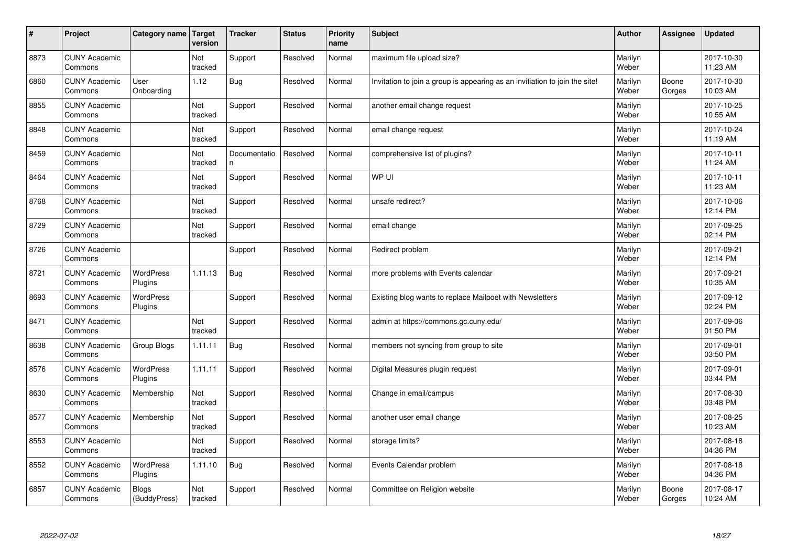| $\sharp$ | Project                         | Category name   Target       | version        | <b>Tracker</b>     | <b>Status</b> | <b>Priority</b><br>name | <b>Subject</b>                                                              | <b>Author</b>    | Assignee        | <b>Updated</b>         |
|----------|---------------------------------|------------------------------|----------------|--------------------|---------------|-------------------------|-----------------------------------------------------------------------------|------------------|-----------------|------------------------|
| 8873     | <b>CUNY Academic</b><br>Commons |                              | Not<br>tracked | Support            | Resolved      | Normal                  | maximum file upload size?                                                   | Marilyn<br>Weber |                 | 2017-10-30<br>11:23 AM |
| 6860     | <b>CUNY Academic</b><br>Commons | User<br>Onboarding           | 1.12           | Bug                | Resolved      | Normal                  | Invitation to join a group is appearing as an invitiation to join the site! | Marilyn<br>Weber | Boone<br>Gorges | 2017-10-30<br>10:03 AM |
| 8855     | <b>CUNY Academic</b><br>Commons |                              | Not<br>tracked | Support            | Resolved      | Normal                  | another email change request                                                | Marilyn<br>Weber |                 | 2017-10-25<br>10:55 AM |
| 8848     | <b>CUNY Academic</b><br>Commons |                              | Not<br>tracked | Support            | Resolved      | Normal                  | email change request                                                        | Marilyn<br>Weber |                 | 2017-10-24<br>11:19 AM |
| 8459     | <b>CUNY Academic</b><br>Commons |                              | Not<br>tracked | Documentatio<br>n. | Resolved      | Normal                  | comprehensive list of plugins?                                              | Marilyn<br>Weber |                 | 2017-10-11<br>11:24 AM |
| 8464     | <b>CUNY Academic</b><br>Commons |                              | Not<br>tracked | Support            | Resolved      | Normal                  | WP UI                                                                       | Marilyn<br>Weber |                 | 2017-10-11<br>11:23 AM |
| 8768     | <b>CUNY Academic</b><br>Commons |                              | Not<br>tracked | Support            | Resolved      | Normal                  | unsafe redirect?                                                            | Marilyn<br>Weber |                 | 2017-10-06<br>12:14 PM |
| 8729     | <b>CUNY Academic</b><br>Commons |                              | Not<br>tracked | Support            | Resolved      | Normal                  | email change                                                                | Marilyn<br>Weber |                 | 2017-09-25<br>02:14 PM |
| 8726     | <b>CUNY Academic</b><br>Commons |                              |                | Support            | Resolved      | Normal                  | Redirect problem                                                            | Marilyn<br>Weber |                 | 2017-09-21<br>12:14 PM |
| 8721     | <b>CUNY Academic</b><br>Commons | WordPress<br>Plugins         | 1.11.13        | Bug                | Resolved      | Normal                  | more problems with Events calendar                                          | Marilyn<br>Weber |                 | 2017-09-21<br>10:35 AM |
| 8693     | <b>CUNY Academic</b><br>Commons | WordPress<br>Plugins         |                | Support            | Resolved      | Normal                  | Existing blog wants to replace Mailpoet with Newsletters                    | Marilyn<br>Weber |                 | 2017-09-12<br>02:24 PM |
| 8471     | <b>CUNY Academic</b><br>Commons |                              | Not<br>tracked | Support            | Resolved      | Normal                  | admin at https://commons.gc.cuny.edu/                                       | Marilyn<br>Weber |                 | 2017-09-06<br>01:50 PM |
| 8638     | <b>CUNY Academic</b><br>Commons | Group Blogs                  | 1.11.11        | Bug                | Resolved      | Normal                  | members not syncing from group to site                                      | Marilyn<br>Weber |                 | 2017-09-01<br>03:50 PM |
| 8576     | <b>CUNY Academic</b><br>Commons | WordPress<br>Plugins         | 1.11.11        | Support            | Resolved      | Normal                  | Digital Measures plugin request                                             | Marilyn<br>Weber |                 | 2017-09-01<br>03:44 PM |
| 8630     | <b>CUNY Academic</b><br>Commons | Membership                   | Not<br>tracked | Support            | Resolved      | Normal                  | Change in email/campus                                                      | Marilyn<br>Weber |                 | 2017-08-30<br>03:48 PM |
| 8577     | <b>CUNY Academic</b><br>Commons | Membership                   | Not<br>tracked | Support            | Resolved      | Normal                  | another user email change                                                   | Marilyn<br>Weber |                 | 2017-08-25<br>10:23 AM |
| 8553     | <b>CUNY Academic</b><br>Commons |                              | Not<br>tracked | Support            | Resolved      | Normal                  | storage limits?                                                             | Marilyn<br>Weber |                 | 2017-08-18<br>04:36 PM |
| 8552     | <b>CUNY Academic</b><br>Commons | <b>WordPress</b><br>Plugins  | 1.11.10        | Bug                | Resolved      | Normal                  | Events Calendar problem                                                     | Marilyn<br>Weber |                 | 2017-08-18<br>04:36 PM |
| 6857     | <b>CUNY Academic</b><br>Commons | <b>Blogs</b><br>(BuddyPress) | Not<br>tracked | Support            | Resolved      | Normal                  | Committee on Religion website                                               | Marilyn<br>Weber | Boone<br>Gorges | 2017-08-17<br>10:24 AM |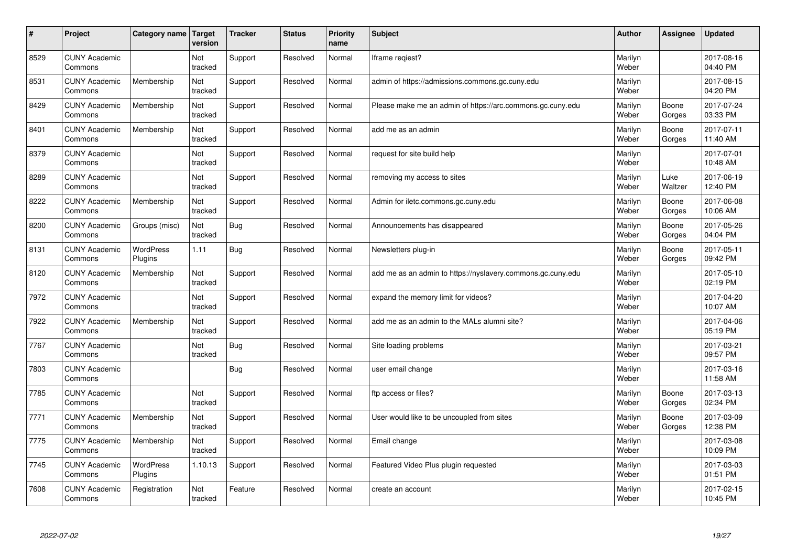| $\vert$ # | Project                         | Category name        | <b>Target</b><br>version | <b>Tracker</b> | <b>Status</b> | <b>Priority</b><br>name | <b>Subject</b>                                              | <b>Author</b>    | Assignee        | <b>Updated</b>         |
|-----------|---------------------------------|----------------------|--------------------------|----------------|---------------|-------------------------|-------------------------------------------------------------|------------------|-----------------|------------------------|
| 8529      | <b>CUNY Academic</b><br>Commons |                      | Not<br>tracked           | Support        | Resolved      | Normal                  | Iframe regiest?                                             | Marilyn<br>Weber |                 | 2017-08-16<br>04:40 PM |
| 8531      | <b>CUNY Academic</b><br>Commons | Membership           | Not<br>tracked           | Support        | Resolved      | Normal                  | admin of https://admissions.commons.gc.cuny.edu             | Marilyn<br>Weber |                 | 2017-08-15<br>04:20 PM |
| 8429      | <b>CUNY Academic</b><br>Commons | Membership           | Not<br>tracked           | Support        | Resolved      | Normal                  | Please make me an admin of https://arc.commons.gc.cuny.edu  | Marilyn<br>Weber | Boone<br>Gorges | 2017-07-24<br>03:33 PM |
| 8401      | <b>CUNY Academic</b><br>Commons | Membership           | Not<br>tracked           | Support        | Resolved      | Normal                  | add me as an admin                                          | Marilyn<br>Weber | Boone<br>Gorges | 2017-07-11<br>11:40 AM |
| 8379      | <b>CUNY Academic</b><br>Commons |                      | Not<br>tracked           | Support        | Resolved      | Normal                  | request for site build help                                 | Marilyn<br>Weber |                 | 2017-07-01<br>10:48 AM |
| 8289      | <b>CUNY Academic</b><br>Commons |                      | Not<br>tracked           | Support        | Resolved      | Normal                  | removing my access to sites                                 | Marilyn<br>Weber | Luke<br>Waltzer | 2017-06-19<br>12:40 PM |
| 8222      | <b>CUNY Academic</b><br>Commons | Membership           | Not<br>tracked           | Support        | Resolved      | Normal                  | Admin for iletc.commons.gc.cuny.edu                         | Marilyn<br>Weber | Boone<br>Gorges | 2017-06-08<br>10:06 AM |
| 8200      | <b>CUNY Academic</b><br>Commons | Groups (misc)        | Not<br>tracked           | Bug            | Resolved      | Normal                  | Announcements has disappeared                               | Marilyn<br>Weber | Boone<br>Gorges | 2017-05-26<br>04:04 PM |
| 8131      | <b>CUNY Academic</b><br>Commons | WordPress<br>Plugins | 1.11                     | <b>Bug</b>     | Resolved      | Normal                  | Newsletters plug-in                                         | Marilyn<br>Weber | Boone<br>Gorges | 2017-05-11<br>09:42 PM |
| 8120      | <b>CUNY Academic</b><br>Commons | Membership           | Not<br>tracked           | Support        | Resolved      | Normal                  | add me as an admin to https://nyslavery.commons.gc.cuny.edu | Marilyn<br>Weber |                 | 2017-05-10<br>02:19 PM |
| 7972      | <b>CUNY Academic</b><br>Commons |                      | Not<br>tracked           | Support        | Resolved      | Normal                  | expand the memory limit for videos?                         | Marilyn<br>Weber |                 | 2017-04-20<br>10:07 AM |
| 7922      | <b>CUNY Academic</b><br>Commons | Membership           | Not<br>tracked           | Support        | Resolved      | Normal                  | add me as an admin to the MALs alumni site?                 | Marilyn<br>Weber |                 | 2017-04-06<br>05:19 PM |
| 7767      | <b>CUNY Academic</b><br>Commons |                      | Not<br>tracked           | Bug            | Resolved      | Normal                  | Site loading problems                                       | Marilyn<br>Weber |                 | 2017-03-21<br>09:57 PM |
| 7803      | <b>CUNY Academic</b><br>Commons |                      |                          | <b>Bug</b>     | Resolved      | Normal                  | user email change                                           | Marilyn<br>Weber |                 | 2017-03-16<br>11:58 AM |
| 7785      | <b>CUNY Academic</b><br>Commons |                      | Not<br>tracked           | Support        | Resolved      | Normal                  | ftp access or files?                                        | Marilyn<br>Weber | Boone<br>Gorges | 2017-03-13<br>02:34 PM |
| 7771      | <b>CUNY Academic</b><br>Commons | Membership           | Not<br>tracked           | Support        | Resolved      | Normal                  | User would like to be uncoupled from sites                  | Marilyn<br>Weber | Boone<br>Gorges | 2017-03-09<br>12:38 PM |
| 7775      | <b>CUNY Academic</b><br>Commons | Membership           | Not<br>tracked           | Support        | Resolved      | Normal                  | Email change                                                | Marilyn<br>Weber |                 | 2017-03-08<br>10:09 PM |
| 7745      | <b>CUNY Academic</b><br>Commons | WordPress<br>Plugins | 1.10.13                  | Support        | Resolved      | Normal                  | Featured Video Plus plugin requested                        | Marilyn<br>Weber |                 | 2017-03-03<br>01:51 PM |
| 7608      | <b>CUNY Academic</b><br>Commons | Registration         | Not<br>tracked           | Feature        | Resolved      | Normal                  | create an account                                           | Marilyn<br>Weber |                 | 2017-02-15<br>10:45 PM |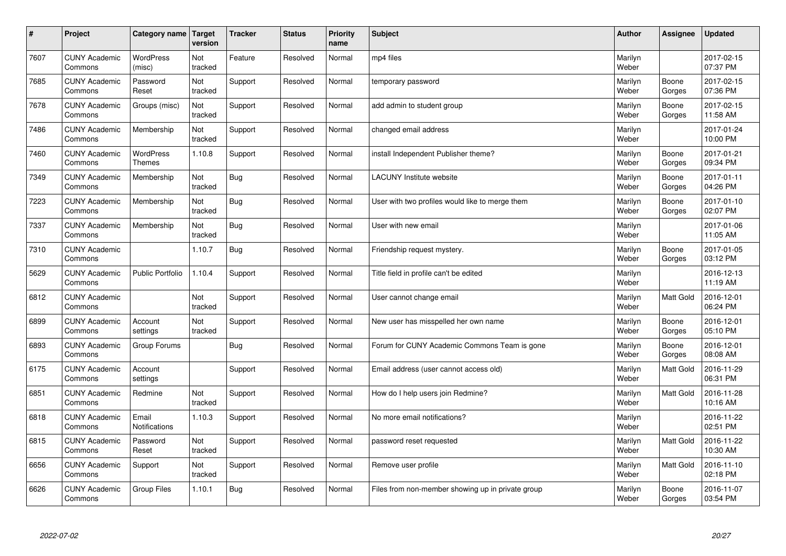| $\vert$ # | Project                         | Category name                     | <b>Target</b><br>version | <b>Tracker</b> | <b>Status</b> | <b>Priority</b><br>name | <b>Subject</b>                                    | <b>Author</b>    | <b>Assignee</b>  | <b>Updated</b>         |
|-----------|---------------------------------|-----------------------------------|--------------------------|----------------|---------------|-------------------------|---------------------------------------------------|------------------|------------------|------------------------|
| 7607      | <b>CUNY Academic</b><br>Commons | <b>WordPress</b><br>(misc)        | Not<br>tracked           | Feature        | Resolved      | Normal                  | mp4 files                                         | Marilyn<br>Weber |                  | 2017-02-15<br>07:37 PM |
| 7685      | <b>CUNY Academic</b><br>Commons | Password<br>Reset                 | Not<br>tracked           | Support        | Resolved      | Normal                  | temporary password                                | Marilyn<br>Weber | Boone<br>Gorges  | 2017-02-15<br>07:36 PM |
| 7678      | <b>CUNY Academic</b><br>Commons | Groups (misc)                     | Not<br>tracked           | Support        | Resolved      | Normal                  | add admin to student group                        | Marilyn<br>Weber | Boone<br>Gorges  | 2017-02-15<br>11:58 AM |
| 7486      | <b>CUNY Academic</b><br>Commons | Membership                        | Not<br>tracked           | Support        | Resolved      | Normal                  | changed email address                             | Marilyn<br>Weber |                  | 2017-01-24<br>10:00 PM |
| 7460      | <b>CUNY Academic</b><br>Commons | <b>WordPress</b><br><b>Themes</b> | 1.10.8                   | Support        | Resolved      | Normal                  | install Independent Publisher theme?              | Marilyn<br>Weber | Boone<br>Gorges  | 2017-01-21<br>09:34 PM |
| 7349      | <b>CUNY Academic</b><br>Commons | Membership                        | Not<br>tracked           | Bug            | Resolved      | Normal                  | <b>LACUNY</b> Institute website                   | Marilyn<br>Weber | Boone<br>Gorges  | 2017-01-11<br>04:26 PM |
| 7223      | <b>CUNY Academic</b><br>Commons | Membership                        | Not<br>tracked           | <b>Bug</b>     | Resolved      | Normal                  | User with two profiles would like to merge them   | Marilyn<br>Weber | Boone<br>Gorges  | 2017-01-10<br>02:07 PM |
| 7337      | <b>CUNY Academic</b><br>Commons | Membership                        | Not<br>tracked           | <b>Bug</b>     | Resolved      | Normal                  | User with new email                               | Marilyn<br>Weber |                  | 2017-01-06<br>11:05 AM |
| 7310      | <b>CUNY Academic</b><br>Commons |                                   | 1.10.7                   | Bug            | Resolved      | Normal                  | Friendship request mystery.                       | Marilyn<br>Weber | Boone<br>Gorges  | 2017-01-05<br>03:12 PM |
| 5629      | <b>CUNY Academic</b><br>Commons | <b>Public Portfolio</b>           | 1.10.4                   | Support        | Resolved      | Normal                  | Title field in profile can't be edited            | Marilyn<br>Weber |                  | 2016-12-13<br>11:19 AM |
| 6812      | <b>CUNY Academic</b><br>Commons |                                   | Not<br>tracked           | Support        | Resolved      | Normal                  | User cannot change email                          | Marilyn<br>Weber | Matt Gold        | 2016-12-01<br>06:24 PM |
| 6899      | <b>CUNY Academic</b><br>Commons | Account<br>settings               | Not<br>tracked           | Support        | Resolved      | Normal                  | New user has misspelled her own name              | Marilyn<br>Weber | Boone<br>Gorges  | 2016-12-01<br>05:10 PM |
| 6893      | <b>CUNY Academic</b><br>Commons | Group Forums                      |                          | Bug            | Resolved      | Normal                  | Forum for CUNY Academic Commons Team is gone      | Marilyn<br>Weber | Boone<br>Gorges  | 2016-12-01<br>08:08 AM |
| 6175      | <b>CUNY Academic</b><br>Commons | Account<br>settings               |                          | Support        | Resolved      | Normal                  | Email address (user cannot access old)            | Marilyn<br>Weber | <b>Matt Gold</b> | 2016-11-29<br>06:31 PM |
| 6851      | <b>CUNY Academic</b><br>Commons | Redmine                           | Not<br>tracked           | Support        | Resolved      | Normal                  | How do I help users join Redmine?                 | Marilyn<br>Weber | Matt Gold        | 2016-11-28<br>10:16 AM |
| 6818      | <b>CUNY Academic</b><br>Commons | Email<br><b>Notifications</b>     | 1.10.3                   | Support        | Resolved      | Normal                  | No more email notifications?                      | Marilyn<br>Weber |                  | 2016-11-22<br>02:51 PM |
| 6815      | <b>CUNY Academic</b><br>Commons | Password<br>Reset                 | Not<br>tracked           | Support        | Resolved      | Normal                  | password reset requested                          | Marilyn<br>Weber | <b>Matt Gold</b> | 2016-11-22<br>10:30 AM |
| 6656      | <b>CUNY Academic</b><br>Commons | Support                           | Not<br>tracked           | Support        | Resolved      | Normal                  | Remove user profile                               | Marilyn<br>Weber | Matt Gold        | 2016-11-10<br>02:18 PM |
| 6626      | <b>CUNY Academic</b><br>Commons | Group Files                       | 1.10.1                   | Bug            | Resolved      | Normal                  | Files from non-member showing up in private group | Marilyn<br>Weber | Boone<br>Gorges  | 2016-11-07<br>03:54 PM |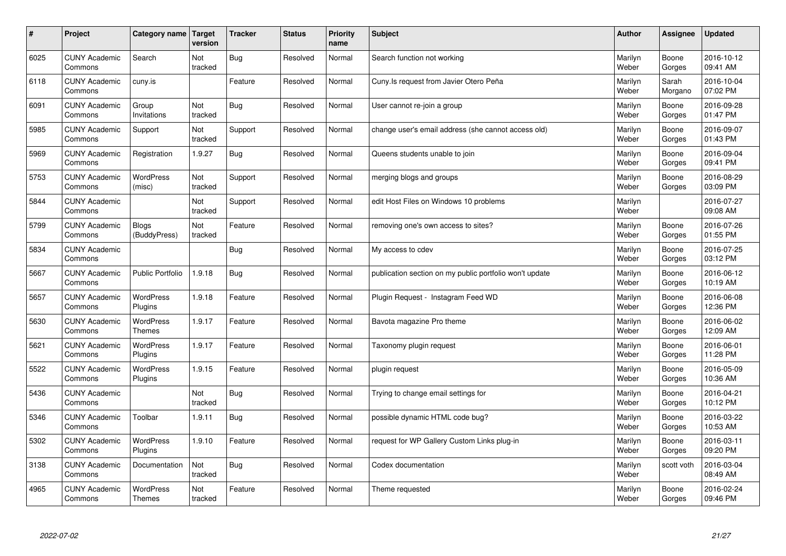| $\sharp$ | Project                         | Category name   Target            | version        | <b>Tracker</b> | <b>Status</b> | <b>Priority</b><br>name | <b>Subject</b>                                          | <b>Author</b>    | Assignee         | <b>Updated</b>         |
|----------|---------------------------------|-----------------------------------|----------------|----------------|---------------|-------------------------|---------------------------------------------------------|------------------|------------------|------------------------|
| 6025     | <b>CUNY Academic</b><br>Commons | Search                            | Not<br>tracked | Bug            | Resolved      | Normal                  | Search function not working                             | Marilyn<br>Weber | Boone<br>Gorges  | 2016-10-12<br>09:41 AM |
| 6118     | <b>CUNY Academic</b><br>Commons | cuny.is                           |                | Feature        | Resolved      | Normal                  | Cuny. Is request from Javier Otero Peña                 | Marilyn<br>Weber | Sarah<br>Morgano | 2016-10-04<br>07:02 PM |
| 6091     | <b>CUNY Academic</b><br>Commons | Group<br>Invitations              | Not<br>tracked | Bug            | Resolved      | Normal                  | User cannot re-join a group                             | Marilyn<br>Weber | Boone<br>Gorges  | 2016-09-28<br>01:47 PM |
| 5985     | <b>CUNY Academic</b><br>Commons | Support                           | Not<br>tracked | Support        | Resolved      | Normal                  | change user's email address (she cannot access old)     | Marilyn<br>Weber | Boone<br>Gorges  | 2016-09-07<br>01:43 PM |
| 5969     | <b>CUNY Academic</b><br>Commons | Registration                      | 1.9.27         | <b>Bug</b>     | Resolved      | Normal                  | Queens students unable to join                          | Marilyn<br>Weber | Boone<br>Gorges  | 2016-09-04<br>09:41 PM |
| 5753     | <b>CUNY Academic</b><br>Commons | WordPress<br>(misc)               | Not<br>tracked | Support        | Resolved      | Normal                  | merging blogs and groups                                | Marilyn<br>Weber | Boone<br>Gorges  | 2016-08-29<br>03:09 PM |
| 5844     | <b>CUNY Academic</b><br>Commons |                                   | Not<br>tracked | Support        | Resolved      | Normal                  | edit Host Files on Windows 10 problems                  | Marilyn<br>Weber |                  | 2016-07-27<br>09:08 AM |
| 5799     | <b>CUNY Academic</b><br>Commons | Blogs<br>(BuddyPress)             | Not<br>tracked | Feature        | Resolved      | Normal                  | removing one's own access to sites?                     | Marilyn<br>Weber | Boone<br>Gorges  | 2016-07-26<br>01:55 PM |
| 5834     | <b>CUNY Academic</b><br>Commons |                                   |                | Bug            | Resolved      | Normal                  | My access to cdev                                       | Marilyn<br>Weber | Boone<br>Gorges  | 2016-07-25<br>03:12 PM |
| 5667     | <b>CUNY Academic</b><br>Commons | <b>Public Portfolio</b>           | 1.9.18         | Bug            | Resolved      | Normal                  | publication section on my public portfolio won't update | Marilyn<br>Weber | Boone<br>Gorges  | 2016-06-12<br>10:19 AM |
| 5657     | <b>CUNY Academic</b><br>Commons | WordPress<br>Plugins              | 1.9.18         | Feature        | Resolved      | Normal                  | Plugin Request - Instagram Feed WD                      | Marilyn<br>Weber | Boone<br>Gorges  | 2016-06-08<br>12:36 PM |
| 5630     | <b>CUNY Academic</b><br>Commons | <b>WordPress</b><br><b>Themes</b> | 1.9.17         | Feature        | Resolved      | Normal                  | Bavota magazine Pro theme                               | Marilyn<br>Weber | Boone<br>Gorges  | 2016-06-02<br>12:09 AM |
| 5621     | <b>CUNY Academic</b><br>Commons | <b>WordPress</b><br>Plugins       | 1.9.17         | Feature        | Resolved      | Normal                  | Taxonomy plugin request                                 | Marilyn<br>Weber | Boone<br>Gorges  | 2016-06-01<br>11:28 PM |
| 5522     | <b>CUNY Academic</b><br>Commons | WordPress<br>Plugins              | 1.9.15         | Feature        | Resolved      | Normal                  | plugin request                                          | Marilyn<br>Weber | Boone<br>Gorges  | 2016-05-09<br>10:36 AM |
| 5436     | <b>CUNY Academic</b><br>Commons |                                   | Not<br>tracked | Bug            | Resolved      | Normal                  | Trying to change email settings for                     | Marilyn<br>Weber | Boone<br>Gorges  | 2016-04-21<br>10:12 PM |
| 5346     | <b>CUNY Academic</b><br>Commons | Toolbar                           | 1.9.11         | Bug            | Resolved      | Normal                  | possible dynamic HTML code bug?                         | Marilyn<br>Weber | Boone<br>Gorges  | 2016-03-22<br>10:53 AM |
| 5302     | <b>CUNY Academic</b><br>Commons | WordPress<br>Plugins              | 1.9.10         | Feature        | Resolved      | Normal                  | request for WP Gallery Custom Links plug-in             | Marilyn<br>Weber | Boone<br>Gorges  | 2016-03-11<br>09:20 PM |
| 3138     | <b>CUNY Academic</b><br>Commons | Documentation                     | Not<br>tracked | Bug            | Resolved      | Normal                  | Codex documentation                                     | Marilyn<br>Weber | scott voth       | 2016-03-04<br>08:49 AM |
| 4965     | <b>CUNY Academic</b><br>Commons | <b>WordPress</b><br><b>Themes</b> | Not<br>tracked | Feature        | Resolved      | Normal                  | Theme requested                                         | Marilyn<br>Weber | Boone<br>Gorges  | 2016-02-24<br>09:46 PM |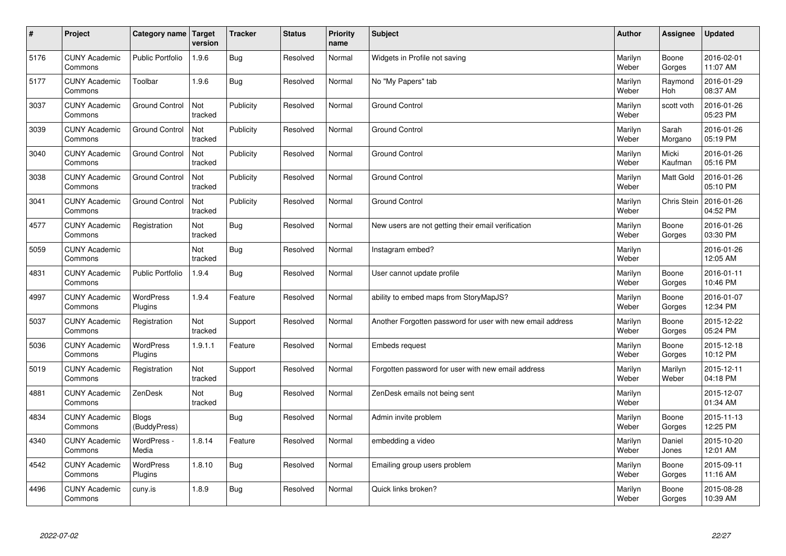| $\pmb{\#}$ | Project                         | Category name                | Target<br>version | <b>Tracker</b> | <b>Status</b> | <b>Priority</b><br>name | <b>Subject</b>                                             | <b>Author</b>    | Assignee              | <b>Updated</b>         |
|------------|---------------------------------|------------------------------|-------------------|----------------|---------------|-------------------------|------------------------------------------------------------|------------------|-----------------------|------------------------|
| 5176       | <b>CUNY Academic</b><br>Commons | <b>Public Portfolio</b>      | 1.9.6             | <b>Bug</b>     | Resolved      | Normal                  | Widgets in Profile not saving                              | Marilyn<br>Weber | Boone<br>Gorges       | 2016-02-01<br>11:07 AM |
| 5177       | <b>CUNY Academic</b><br>Commons | Toolbar                      | 1.9.6             | Bug            | Resolved      | Normal                  | No "My Papers" tab                                         | Marilyn<br>Weber | Raymond<br><b>Hoh</b> | 2016-01-29<br>08:37 AM |
| 3037       | <b>CUNY Academic</b><br>Commons | <b>Ground Control</b>        | Not<br>tracked    | Publicity      | Resolved      | Normal                  | <b>Ground Control</b>                                      | Marilyn<br>Weber | scott voth            | 2016-01-26<br>05:23 PM |
| 3039       | <b>CUNY Academic</b><br>Commons | <b>Ground Control</b>        | Not<br>tracked    | Publicity      | Resolved      | Normal                  | <b>Ground Control</b>                                      | Marilyn<br>Weber | Sarah<br>Morgano      | 2016-01-26<br>05:19 PM |
| 3040       | <b>CUNY Academic</b><br>Commons | <b>Ground Control</b>        | Not<br>tracked    | Publicity      | Resolved      | Normal                  | <b>Ground Control</b>                                      | Marilyn<br>Weber | Micki<br>Kaufman      | 2016-01-26<br>05:16 PM |
| 3038       | <b>CUNY Academic</b><br>Commons | <b>Ground Control</b>        | Not<br>tracked    | Publicity      | Resolved      | Normal                  | <b>Ground Control</b>                                      | Marilyn<br>Weber | Matt Gold             | 2016-01-26<br>05:10 PM |
| 3041       | <b>CUNY Academic</b><br>Commons | <b>Ground Control</b>        | Not<br>tracked    | Publicity      | Resolved      | Normal                  | <b>Ground Control</b>                                      | Marilyn<br>Weber | <b>Chris Stein</b>    | 2016-01-26<br>04:52 PM |
| 4577       | <b>CUNY Academic</b><br>Commons | Registration                 | Not<br>tracked    | <b>Bug</b>     | Resolved      | Normal                  | New users are not getting their email verification         | Marilyn<br>Weber | Boone<br>Gorges       | 2016-01-26<br>03:30 PM |
| 5059       | <b>CUNY Academic</b><br>Commons |                              | Not<br>tracked    | <b>Bug</b>     | Resolved      | Normal                  | Instagram embed?                                           | Marilyn<br>Weber |                       | 2016-01-26<br>12:05 AM |
| 4831       | <b>CUNY Academic</b><br>Commons | <b>Public Portfolio</b>      | 1.9.4             | <b>Bug</b>     | Resolved      | Normal                  | User cannot update profile                                 | Marilyn<br>Weber | Boone<br>Gorges       | 2016-01-11<br>10:46 PM |
| 4997       | <b>CUNY Academic</b><br>Commons | WordPress<br>Plugins         | 1.9.4             | Feature        | Resolved      | Normal                  | ability to embed maps from StoryMapJS?                     | Marilyn<br>Weber | Boone<br>Gorges       | 2016-01-07<br>12:34 PM |
| 5037       | <b>CUNY Academic</b><br>Commons | Registration                 | Not<br>tracked    | Support        | Resolved      | Normal                  | Another Forgotten password for user with new email address | Marilyn<br>Weber | Boone<br>Gorges       | 2015-12-22<br>05:24 PM |
| 5036       | <b>CUNY Academic</b><br>Commons | WordPress<br>Plugins         | 1.9.1.1           | Feature        | Resolved      | Normal                  | Embeds request                                             | Marilyn<br>Weber | Boone<br>Gorges       | 2015-12-18<br>10:12 PM |
| 5019       | <b>CUNY Academic</b><br>Commons | Registration                 | Not<br>tracked    | Support        | Resolved      | Normal                  | Forgotten password for user with new email address         | Marilyn<br>Weber | Marilyn<br>Weber      | 2015-12-11<br>04:18 PM |
| 4881       | <b>CUNY Academic</b><br>Commons | ZenDesk                      | Not<br>tracked    | Bug            | Resolved      | Normal                  | ZenDesk emails not being sent                              | Marilyn<br>Weber |                       | 2015-12-07<br>01:34 AM |
| 4834       | <b>CUNY Academic</b><br>Commons | <b>Blogs</b><br>(BuddyPress) |                   | <b>Bug</b>     | Resolved      | Normal                  | Admin invite problem                                       | Marilyn<br>Weber | Boone<br>Gorges       | 2015-11-13<br>12:25 PM |
| 4340       | <b>CUNY Academic</b><br>Commons | WordPress -<br>Media         | 1.8.14            | Feature        | Resolved      | Normal                  | embedding a video                                          | Marilyn<br>Weber | Daniel<br>Jones       | 2015-10-20<br>12:01 AM |
| 4542       | <b>CUNY Academic</b><br>Commons | <b>WordPress</b><br>Plugins  | 1.8.10            | <b>Bug</b>     | Resolved      | Normal                  | Emailing group users problem                               | Marilyn<br>Weber | Boone<br>Gorges       | 2015-09-11<br>11:16 AM |
| 4496       | <b>CUNY Academic</b><br>Commons | cuny.is                      | 1.8.9             | <b>Bug</b>     | Resolved      | Normal                  | Quick links broken?                                        | Marilyn<br>Weber | Boone<br>Gorges       | 2015-08-28<br>10:39 AM |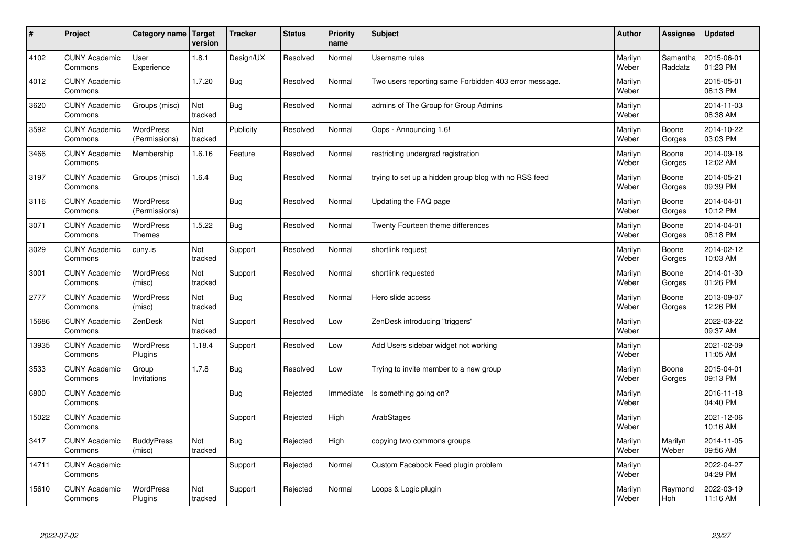| $\sharp$ | Project                         | Category name   Target            | version        | <b>Tracker</b> | <b>Status</b> | <b>Priority</b><br>name | <b>Subject</b>                                        | <b>Author</b>    | <b>Assignee</b>     | <b>Updated</b>         |
|----------|---------------------------------|-----------------------------------|----------------|----------------|---------------|-------------------------|-------------------------------------------------------|------------------|---------------------|------------------------|
| 4102     | <b>CUNY Academic</b><br>Commons | User<br>Experience                | 1.8.1          | Design/UX      | Resolved      | Normal                  | Username rules                                        | Marilyn<br>Weber | Samantha<br>Raddatz | 2015-06-01<br>01:23 PM |
| 4012     | <b>CUNY Academic</b><br>Commons |                                   | 1.7.20         | Bug            | Resolved      | Normal                  | Two users reporting same Forbidden 403 error message. | Marilyn<br>Weber |                     | 2015-05-01<br>08:13 PM |
| 3620     | <b>CUNY Academic</b><br>Commons | Groups (misc)                     | Not<br>tracked | Bug            | Resolved      | Normal                  | admins of The Group for Group Admins                  | Marilyn<br>Weber |                     | 2014-11-03<br>08:38 AM |
| 3592     | <b>CUNY Academic</b><br>Commons | WordPress<br>(Permissions)        | Not<br>tracked | Publicity      | Resolved      | Normal                  | Oops - Announcing 1.6!                                | Marilyn<br>Weber | Boone<br>Gorges     | 2014-10-22<br>03:03 PM |
| 3466     | <b>CUNY Academic</b><br>Commons | Membership                        | 1.6.16         | Feature        | Resolved      | Normal                  | restricting undergrad registration                    | Marilyn<br>Weber | Boone<br>Gorges     | 2014-09-18<br>12:02 AM |
| 3197     | <b>CUNY Academic</b><br>Commons | Groups (misc)                     | 1.6.4          | Bug            | Resolved      | Normal                  | trying to set up a hidden group blog with no RSS feed | Marilyn<br>Weber | Boone<br>Gorges     | 2014-05-21<br>09:39 PM |
| 3116     | <b>CUNY Academic</b><br>Commons | <b>WordPress</b><br>(Permissions) |                | Bug            | Resolved      | Normal                  | Updating the FAQ page                                 | Marilyn<br>Weber | Boone<br>Gorges     | 2014-04-01<br>10:12 PM |
| 3071     | <b>CUNY Academic</b><br>Commons | WordPress<br><b>Themes</b>        | 1.5.22         | Bug            | Resolved      | Normal                  | Twenty Fourteen theme differences                     | Marilyn<br>Weber | Boone<br>Gorges     | 2014-04-01<br>08:18 PM |
| 3029     | <b>CUNY Academic</b><br>Commons | cuny.is                           | Not<br>tracked | Support        | Resolved      | Normal                  | shortlink request                                     | Marilyn<br>Weber | Boone<br>Gorges     | 2014-02-12<br>10:03 AM |
| 3001     | <b>CUNY Academic</b><br>Commons | <b>WordPress</b><br>(misc)        | Not<br>tracked | Support        | Resolved      | Normal                  | shortlink requested                                   | Marilyn<br>Weber | Boone<br>Gorges     | 2014-01-30<br>01:26 PM |
| 2777     | <b>CUNY Academic</b><br>Commons | <b>WordPress</b><br>(misc)        | Not<br>tracked | Bug            | Resolved      | Normal                  | Hero slide access                                     | Marilyn<br>Weber | Boone<br>Gorges     | 2013-09-07<br>12:26 PM |
| 15686    | <b>CUNY Academic</b><br>Commons | ZenDesk                           | Not<br>tracked | Support        | Resolved      | Low                     | ZenDesk introducing "triggers"                        | Marilyn<br>Weber |                     | 2022-03-22<br>09:37 AM |
| 13935    | <b>CUNY Academic</b><br>Commons | <b>WordPress</b><br>Plugins       | 1.18.4         | Support        | Resolved      | Low                     | Add Users sidebar widget not working                  | Marilyn<br>Weber |                     | 2021-02-09<br>11:05 AM |
| 3533     | <b>CUNY Academic</b><br>Commons | Group<br>Invitations              | 1.7.8          | <b>Bug</b>     | Resolved      | Low                     | Trying to invite member to a new group                | Marilyn<br>Weber | Boone<br>Gorges     | 2015-04-01<br>09:13 PM |
| 6800     | <b>CUNY Academic</b><br>Commons |                                   |                | Bug            | Rejected      | Immediate               | Is something going on?                                | Marilyn<br>Weber |                     | 2016-11-18<br>04:40 PM |
| 15022    | <b>CUNY Academic</b><br>Commons |                                   |                | Support        | Rejected      | High                    | ArabStages                                            | Marilyn<br>Weber |                     | 2021-12-06<br>10:16 AM |
| 3417     | <b>CUNY Academic</b><br>Commons | <b>BuddyPress</b><br>(misc)       | Not<br>tracked | Bug            | Rejected      | High                    | copying two commons groups                            | Marilyn<br>Weber | Marilyn<br>Weber    | 2014-11-05<br>09:56 AM |
| 14711    | <b>CUNY Academic</b><br>Commons |                                   |                | Support        | Rejected      | Normal                  | Custom Facebook Feed plugin problem                   | Marilyn<br>Weber |                     | 2022-04-27<br>04:29 PM |
| 15610    | <b>CUNY Academic</b><br>Commons | <b>WordPress</b><br>Plugins       | Not<br>tracked | Support        | Rejected      | Normal                  | Loops & Logic plugin                                  | Marilyn<br>Weber | Raymond<br>Hoh      | 2022-03-19<br>11:16 AM |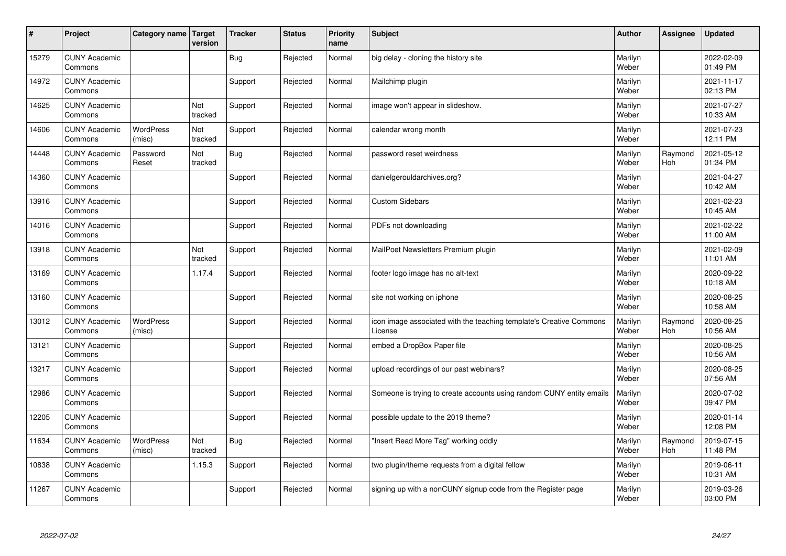| #     | Project                         | Category name   Target     | version               | <b>Tracker</b> | <b>Status</b> | <b>Priority</b><br>name | <b>Subject</b>                                                                 | <b>Author</b>    | Assignee              | <b>Updated</b>         |
|-------|---------------------------------|----------------------------|-----------------------|----------------|---------------|-------------------------|--------------------------------------------------------------------------------|------------------|-----------------------|------------------------|
| 15279 | <b>CUNY Academic</b><br>Commons |                            |                       | Bug            | Rejected      | Normal                  | big delay - cloning the history site                                           | Marilyn<br>Weber |                       | 2022-02-09<br>01:49 PM |
| 14972 | <b>CUNY Academic</b><br>Commons |                            |                       | Support        | Rejected      | Normal                  | Mailchimp plugin                                                               | Marilyn<br>Weber |                       | 2021-11-17<br>02:13 PM |
| 14625 | <b>CUNY Academic</b><br>Commons |                            | <b>Not</b><br>tracked | Support        | Rejected      | Normal                  | image won't appear in slideshow.                                               | Marilyn<br>Weber |                       | 2021-07-27<br>10:33 AM |
| 14606 | <b>CUNY Academic</b><br>Commons | <b>WordPress</b><br>(misc) | Not<br>tracked        | Support        | Rejected      | Normal                  | calendar wrong month                                                           | Marilyn<br>Weber |                       | 2021-07-23<br>12:11 PM |
| 14448 | <b>CUNY Academic</b><br>Commons | Password<br>Reset          | Not<br>tracked        | <b>Bug</b>     | Rejected      | Normal                  | password reset weirdness                                                       | Marilyn<br>Weber | Raymond<br><b>Hoh</b> | 2021-05-12<br>01:34 PM |
| 14360 | <b>CUNY Academic</b><br>Commons |                            |                       | Support        | Rejected      | Normal                  | danielgerouldarchives.org?                                                     | Marilyn<br>Weber |                       | 2021-04-27<br>10:42 AM |
| 13916 | <b>CUNY Academic</b><br>Commons |                            |                       | Support        | Rejected      | Normal                  | <b>Custom Sidebars</b>                                                         | Marilyn<br>Weber |                       | 2021-02-23<br>10:45 AM |
| 14016 | <b>CUNY Academic</b><br>Commons |                            |                       | Support        | Rejected      | Normal                  | PDFs not downloading                                                           | Marilyn<br>Weber |                       | 2021-02-22<br>11:00 AM |
| 13918 | <b>CUNY Academic</b><br>Commons |                            | Not<br>tracked        | Support        | Rejected      | Normal                  | MailPoet Newsletters Premium plugin                                            | Marilyn<br>Weber |                       | 2021-02-09<br>11:01 AM |
| 13169 | <b>CUNY Academic</b><br>Commons |                            | 1.17.4                | Support        | Rejected      | Normal                  | footer logo image has no alt-text                                              | Marilyn<br>Weber |                       | 2020-09-22<br>10:18 AM |
| 13160 | <b>CUNY Academic</b><br>Commons |                            |                       | Support        | Rejected      | Normal                  | site not working on iphone                                                     | Marilyn<br>Weber |                       | 2020-08-25<br>10:58 AM |
| 13012 | <b>CUNY Academic</b><br>Commons | <b>WordPress</b><br>(misc) |                       | Support        | Rejected      | Normal                  | icon image associated with the teaching template's Creative Commons<br>License | Marilyn<br>Weber | Raymond<br>Hoh        | 2020-08-25<br>10:56 AM |
| 13121 | <b>CUNY Academic</b><br>Commons |                            |                       | Support        | Rejected      | Normal                  | embed a DropBox Paper file                                                     | Marilyn<br>Weber |                       | 2020-08-25<br>10:56 AM |
| 13217 | <b>CUNY Academic</b><br>Commons |                            |                       | Support        | Rejected      | Normal                  | upload recordings of our past webinars?                                        | Marilyn<br>Weber |                       | 2020-08-25<br>07:56 AM |
| 12986 | <b>CUNY Academic</b><br>Commons |                            |                       | Support        | Rejected      | Normal                  | Someone is trying to create accounts using random CUNY entity emails           | Marilyn<br>Weber |                       | 2020-07-02<br>09:47 PM |
| 12205 | <b>CUNY Academic</b><br>Commons |                            |                       | Support        | Rejected      | Normal                  | possible update to the 2019 theme?                                             | Marilyn<br>Weber |                       | 2020-01-14<br>12:08 PM |
| 11634 | <b>CUNY Academic</b><br>Commons | WordPress<br>(misc)        | Not<br>tracked        | <b>Bug</b>     | Rejected      | Normal                  | 'Insert Read More Tag" working oddly                                           | Marilyn<br>Weber | Raymond<br>Hoh        | 2019-07-15<br>11:48 PM |
| 10838 | <b>CUNY Academic</b><br>Commons |                            | 1.15.3                | Support        | Rejected      | Normal                  | two plugin/theme requests from a digital fellow                                | Marilyn<br>Weber |                       | 2019-06-11<br>10:31 AM |
| 11267 | <b>CUNY Academic</b><br>Commons |                            |                       | Support        | Rejected      | Normal                  | signing up with a nonCUNY signup code from the Register page                   | Marilyn<br>Weber |                       | 2019-03-26<br>03:00 PM |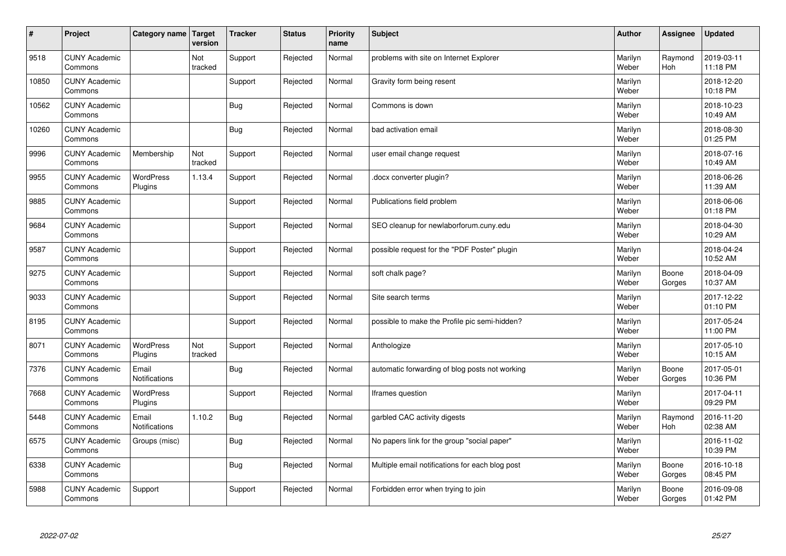| $\vert$ # | Project                         | Category name   Target        | version        | <b>Tracker</b> | <b>Status</b> | <b>Priority</b><br>name | <b>Subject</b>                                  | <b>Author</b>    | Assignee              | Updated                |
|-----------|---------------------------------|-------------------------------|----------------|----------------|---------------|-------------------------|-------------------------------------------------|------------------|-----------------------|------------------------|
| 9518      | <b>CUNY Academic</b><br>Commons |                               | Not<br>tracked | Support        | Rejected      | Normal                  | problems with site on Internet Explorer         | Marilyn<br>Weber | Raymond<br><b>Hoh</b> | 2019-03-11<br>11:18 PM |
| 10850     | <b>CUNY Academic</b><br>Commons |                               |                | Support        | Rejected      | Normal                  | Gravity form being resent                       | Marilyn<br>Weber |                       | 2018-12-20<br>10:18 PM |
| 10562     | <b>CUNY Academic</b><br>Commons |                               |                | Bug            | Rejected      | Normal                  | Commons is down                                 | Marilyn<br>Weber |                       | 2018-10-23<br>10:49 AM |
| 10260     | <b>CUNY Academic</b><br>Commons |                               |                | Bug            | Rejected      | Normal                  | bad activation email                            | Marilyn<br>Weber |                       | 2018-08-30<br>01:25 PM |
| 9996      | <b>CUNY Academic</b><br>Commons | Membership                    | Not<br>tracked | Support        | Rejected      | Normal                  | user email change request                       | Marilyn<br>Weber |                       | 2018-07-16<br>10:49 AM |
| 9955      | <b>CUNY Academic</b><br>Commons | <b>WordPress</b><br>Plugins   | 1.13.4         | Support        | Rejected      | Normal                  | docx converter plugin?                          | Marilyn<br>Weber |                       | 2018-06-26<br>11:39 AM |
| 9885      | <b>CUNY Academic</b><br>Commons |                               |                | Support        | Rejected      | Normal                  | Publications field problem                      | Marilyn<br>Weber |                       | 2018-06-06<br>01:18 PM |
| 9684      | <b>CUNY Academic</b><br>Commons |                               |                | Support        | Rejected      | Normal                  | SEO cleanup for newlaborforum.cuny.edu          | Marilyn<br>Weber |                       | 2018-04-30<br>10:29 AM |
| 9587      | <b>CUNY Academic</b><br>Commons |                               |                | Support        | Rejected      | Normal                  | possible request for the "PDF Poster" plugin    | Marilyn<br>Weber |                       | 2018-04-24<br>10:52 AM |
| 9275      | <b>CUNY Academic</b><br>Commons |                               |                | Support        | Rejected      | Normal                  | soft chalk page?                                | Marilyn<br>Weber | Boone<br>Gorges       | 2018-04-09<br>10:37 AM |
| 9033      | <b>CUNY Academic</b><br>Commons |                               |                | Support        | Rejected      | Normal                  | Site search terms                               | Marilyn<br>Weber |                       | 2017-12-22<br>01:10 PM |
| 8195      | <b>CUNY Academic</b><br>Commons |                               |                | Support        | Rejected      | Normal                  | possible to make the Profile pic semi-hidden?   | Marilyn<br>Weber |                       | 2017-05-24<br>11:00 PM |
| 8071      | <b>CUNY Academic</b><br>Commons | <b>WordPress</b><br>Plugins   | Not<br>tracked | Support        | Rejected      | Normal                  | Anthologize                                     | Marilyn<br>Weber |                       | 2017-05-10<br>10:15 AM |
| 7376      | <b>CUNY Academic</b><br>Commons | Email<br><b>Notifications</b> |                | <b>Bug</b>     | Rejected      | Normal                  | automatic forwarding of blog posts not working  | Marilyn<br>Weber | Boone<br>Gorges       | 2017-05-01<br>10:36 PM |
| 7668      | <b>CUNY Academic</b><br>Commons | <b>WordPress</b><br>Plugins   |                | Support        | Rejected      | Normal                  | Iframes question                                | Marilyn<br>Weber |                       | 2017-04-11<br>09:29 PM |
| 5448      | <b>CUNY Academic</b><br>Commons | Email<br>Notifications        | 1.10.2         | <b>Bug</b>     | Rejected      | Normal                  | garbled CAC activity digests                    | Marilyn<br>Weber | Raymond<br>Hoh        | 2016-11-20<br>02:38 AM |
| 6575      | <b>CUNY Academic</b><br>Commons | Groups (misc)                 |                | <b>Bug</b>     | Rejected      | Normal                  | No papers link for the group "social paper"     | Marilyn<br>Weber |                       | 2016-11-02<br>10:39 PM |
| 6338      | <b>CUNY Academic</b><br>Commons |                               |                | Bug            | Rejected      | Normal                  | Multiple email notifications for each blog post | Marilyn<br>Weber | Boone<br>Gorges       | 2016-10-18<br>08:45 PM |
| 5988      | <b>CUNY Academic</b><br>Commons | Support                       |                | Support        | Rejected      | Normal                  | Forbidden error when trying to join             | Marilyn<br>Weber | Boone<br>Gorges       | 2016-09-08<br>01:42 PM |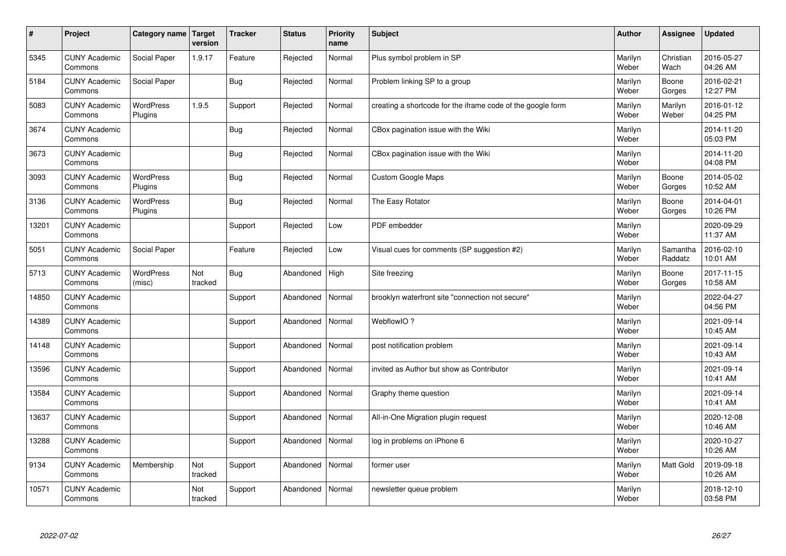| $\sharp$ | Project                         | Category name   Target      | version        | <b>Tracker</b> | <b>Status</b> | <b>Priority</b><br>name | <b>Subject</b>                                              | <b>Author</b>    | <b>Assignee</b>     | <b>Updated</b>         |
|----------|---------------------------------|-----------------------------|----------------|----------------|---------------|-------------------------|-------------------------------------------------------------|------------------|---------------------|------------------------|
| 5345     | <b>CUNY Academic</b><br>Commons | Social Paper                | 1.9.17         | Feature        | Rejected      | Normal                  | Plus symbol problem in SP                                   | Marilyn<br>Weber | Christian<br>Wach   | 2016-05-27<br>04:26 AM |
| 5184     | <b>CUNY Academic</b><br>Commons | Social Paper                |                | Bug            | Rejected      | Normal                  | Problem linking SP to a group                               | Marilyn<br>Weber | Boone<br>Gorges     | 2016-02-21<br>12:27 PM |
| 5083     | <b>CUNY Academic</b><br>Commons | <b>WordPress</b><br>Plugins | 1.9.5          | Support        | Rejected      | Normal                  | creating a shortcode for the iframe code of the google form | Marilyn<br>Weber | Marilyn<br>Weber    | 2016-01-12<br>04:25 PM |
| 3674     | <b>CUNY Academic</b><br>Commons |                             |                | Bug            | Rejected      | Normal                  | CBox pagination issue with the Wiki                         | Marilyn<br>Weber |                     | 2014-11-20<br>05:03 PM |
| 3673     | <b>CUNY Academic</b><br>Commons |                             |                | Bug            | Rejected      | Normal                  | CBox pagination issue with the Wiki                         | Marilyn<br>Weber |                     | 2014-11-20<br>04:08 PM |
| 3093     | <b>CUNY Academic</b><br>Commons | WordPress<br>Plugins        |                | Bug            | Rejected      | Normal                  | <b>Custom Google Maps</b>                                   | Marilyn<br>Weber | Boone<br>Gorges     | 2014-05-02<br>10:52 AM |
| 3136     | <b>CUNY Academic</b><br>Commons | WordPress<br>Plugins        |                | Bug            | Rejected      | Normal                  | The Easy Rotator                                            | Marilyn<br>Weber | Boone<br>Gorges     | 2014-04-01<br>10:26 PM |
| 13201    | <b>CUNY Academic</b><br>Commons |                             |                | Support        | Rejected      | Low                     | PDF embedder                                                | Marilyn<br>Weber |                     | 2020-09-29<br>11:37 AM |
| 5051     | <b>CUNY Academic</b><br>Commons | Social Paper                |                | Feature        | Rejected      | Low                     | Visual cues for comments (SP suggestion #2)                 | Marilyn<br>Weber | Samantha<br>Raddatz | 2016-02-10<br>10:01 AM |
| 5713     | <b>CUNY Academic</b><br>Commons | WordPress<br>(misc)         | Not<br>tracked | Bug            | Abandoned     | High                    | Site freezing                                               | Marilyn<br>Weber | Boone<br>Gorges     | 2017-11-15<br>10:58 AM |
| 14850    | <b>CUNY Academic</b><br>Commons |                             |                | Support        | Abandoned     | Normal                  | brooklyn waterfront site "connection not secure"            | Marilyn<br>Weber |                     | 2022-04-27<br>04:56 PM |
| 14389    | <b>CUNY Academic</b><br>Commons |                             |                | Support        | Abandoned     | Normal                  | WebflowIO?                                                  | Marilyn<br>Weber |                     | 2021-09-14<br>10:45 AM |
| 14148    | <b>CUNY Academic</b><br>Commons |                             |                | Support        | Abandoned     | Normal                  | post notification problem                                   | Marilyn<br>Weber |                     | 2021-09-14<br>10:43 AM |
| 13596    | <b>CUNY Academic</b><br>Commons |                             |                | Support        | Abandoned     | Normal                  | invited as Author but show as Contributor                   | Marilyn<br>Weber |                     | 2021-09-14<br>10:41 AM |
| 13584    | <b>CUNY Academic</b><br>Commons |                             |                | Support        | Abandoned     | Normal                  | Graphy theme question                                       | Marilyn<br>Weber |                     | 2021-09-14<br>10:41 AM |
| 13637    | <b>CUNY Academic</b><br>Commons |                             |                | Support        | Abandoned     | Normal                  | All-in-One Migration plugin request                         | Marilyn<br>Weber |                     | 2020-12-08<br>10:46 AM |
| 13288    | <b>CUNY Academic</b><br>Commons |                             |                | Support        | Abandoned     | Normal                  | log in problems on iPhone 6                                 | Marilyn<br>Weber |                     | 2020-10-27<br>10:26 AM |
| 9134     | <b>CUNY Academic</b><br>Commons | Membership                  | Not<br>tracked | Support        | Abandoned     | Normal                  | former user                                                 | Marilyn<br>Weber | Matt Gold           | 2019-09-18<br>10:26 AM |
| 10571    | <b>CUNY Academic</b><br>Commons |                             | Not<br>tracked | Support        | Abandoned     | Normal                  | newsletter queue problem                                    | Marilyn<br>Weber |                     | 2018-12-10<br>03:58 PM |